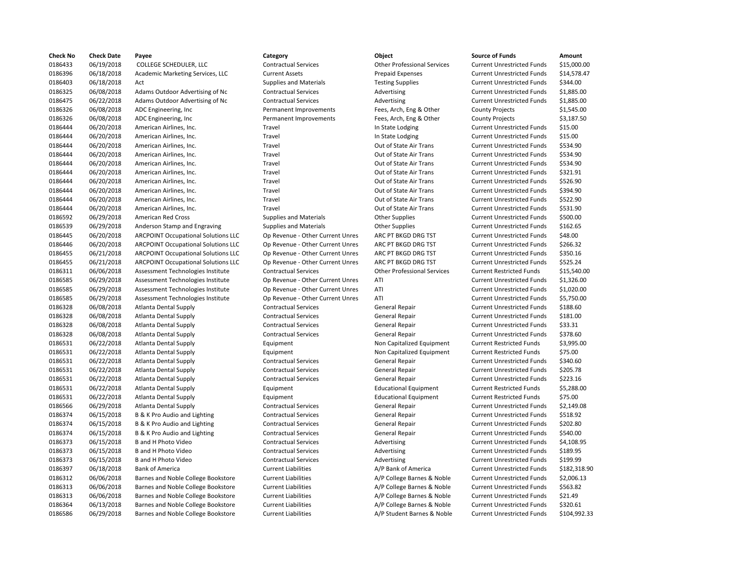| <b>Check No</b>    | <b>Check Date</b>        | Payee                                      | Category                                                   | Object                             | <b>Source of Funds</b>                                                 | Amount    |
|--------------------|--------------------------|--------------------------------------------|------------------------------------------------------------|------------------------------------|------------------------------------------------------------------------|-----------|
| 0186433            | 06/19/2018               | COLLEGE SCHEDULER, LLC                     | <b>Contractual Services</b>                                | <b>Other Professional Services</b> | <b>Current Unrestricted Funds</b>                                      | \$15,000  |
| 0186396            | 06/18/2018               | Academic Marketing Services, LLC           | <b>Current Assets</b>                                      | <b>Prepaid Expenses</b>            | <b>Current Unrestricted Funds</b>                                      | \$14,578  |
| 0186403            | 06/18/2018               | Act                                        | <b>Supplies and Materials</b>                              | <b>Testing Supplies</b>            | <b>Current Unrestricted Funds</b>                                      | \$344.00  |
| 0186325            | 06/08/2018               | Adams Outdoor Advertising of Nc            | <b>Contractual Services</b>                                | Advertising                        | <b>Current Unrestricted Funds</b>                                      | \$1,885.0 |
| 0186475            | 06/22/2018               | Adams Outdoor Advertising of Nc            | <b>Contractual Services</b>                                | Advertising                        | <b>Current Unrestricted Funds</b>                                      | \$1,885.0 |
| 0186326            | 06/08/2018               | ADC Engineering, Inc                       | Permanent Improvements                                     | Fees, Arch, Eng & Other            | <b>County Projects</b>                                                 | \$1,545.0 |
| 0186326            | 06/08/2018               | ADC Engineering, Inc.                      | Permanent Improvements                                     | Fees, Arch, Eng & Other            | <b>County Projects</b>                                                 | \$3,187.5 |
| 0186444            | 06/20/2018               | American Airlines, Inc.                    | Travel                                                     | In State Lodging                   | <b>Current Unrestricted Funds</b>                                      | \$15.00   |
| 0186444            | 06/20/2018               | American Airlines, Inc.                    | Travel                                                     | In State Lodging                   | <b>Current Unrestricted Funds</b>                                      | \$15.00   |
| 0186444            | 06/20/2018               | American Airlines, Inc.                    | Travel                                                     | Out of State Air Trans             | <b>Current Unrestricted Funds</b>                                      | \$534.90  |
| 0186444            | 06/20/2018               | American Airlines, Inc.                    | Travel                                                     | Out of State Air Trans             | <b>Current Unrestricted Funds</b>                                      | \$534.90  |
| 0186444            | 06/20/2018               | American Airlines, Inc.                    | Travel                                                     | Out of State Air Trans             | <b>Current Unrestricted Funds</b>                                      | \$534.90  |
| 0186444            | 06/20/2018               | American Airlines, Inc.                    | Travel                                                     | Out of State Air Trans             | <b>Current Unrestricted Funds</b>                                      | \$321.91  |
| 0186444            | 06/20/2018               | American Airlines, Inc.                    | Travel                                                     | Out of State Air Trans             | <b>Current Unrestricted Funds</b>                                      | \$526.90  |
| 0186444            | 06/20/2018               | American Airlines, Inc.                    | Travel                                                     | Out of State Air Trans             | <b>Current Unrestricted Funds</b>                                      | \$394.90  |
| 0186444            | 06/20/2018               | American Airlines, Inc.                    | Travel                                                     | Out of State Air Trans             | <b>Current Unrestricted Funds</b>                                      | \$522.90  |
| 0186444            | 06/20/2018               | American Airlines, Inc.                    | Travel                                                     | Out of State Air Trans             | <b>Current Unrestricted Funds</b>                                      | \$531.90  |
| 0186592            | 06/29/2018               | <b>American Red Cross</b>                  | <b>Supplies and Materials</b>                              | <b>Other Supplies</b>              | <b>Current Unrestricted Funds</b>                                      | \$500.00  |
| 0186539            | 06/29/2018               | Anderson Stamp and Engraving               | <b>Supplies and Materials</b>                              | <b>Other Supplies</b>              | <b>Current Unrestricted Funds</b>                                      | \$162.65  |
| 0186445            | 06/20/2018               | <b>ARCPOINT Occupational Solutions LLC</b> | Op Revenue - Other Current Unres                           | ARC PT BKGD DRG TST                | <b>Current Unrestricted Funds</b>                                      | \$48.00   |
| 0186446            | 06/20/2018               | <b>ARCPOINT Occupational Solutions LLC</b> | Op Revenue - Other Current Unres                           | ARC PT BKGD DRG TST                | <b>Current Unrestricted Funds</b>                                      | \$266.32  |
| 0186455            | 06/21/2018               | <b>ARCPOINT Occupational Solutions LLC</b> | Op Revenue - Other Current Unres                           | ARC PT BKGD DRG TST                | <b>Current Unrestricted Funds</b>                                      | \$350.16  |
| 0186455            | 06/21/2018               | <b>ARCPOINT Occupational Solutions LLC</b> | Op Revenue - Other Current Unres                           | ARC PT BKGD DRG TST                | <b>Current Unrestricted Funds</b>                                      | \$525.24  |
| 0186311            | 06/06/2018               | Assessment Technologies Institute          | <b>Contractual Services</b>                                | <b>Other Professional Services</b> | <b>Current Restricted Funds</b>                                        | \$15,540  |
| 0186585            | 06/29/2018               | Assessment Technologies Institute          | Op Revenue - Other Current Unres                           | ATI                                | <b>Current Unrestricted Funds</b>                                      | \$1,326.0 |
| 0186585            | 06/29/2018               | Assessment Technologies Institute          | Op Revenue - Other Current Unres                           | ATI                                | <b>Current Unrestricted Funds</b>                                      | \$1,020.0 |
| 0186585            | 06/29/2018               | Assessment Technologies Institute          | Op Revenue - Other Current Unres                           | ATI                                | <b>Current Unrestricted Funds</b>                                      | \$5,750.0 |
| 0186328            | 06/08/2018               | Atlanta Dental Supply                      | <b>Contractual Services</b>                                | General Repair                     | <b>Current Unrestricted Funds</b>                                      | \$188.60  |
| 0186328            | 06/08/2018               | Atlanta Dental Supply                      | <b>Contractual Services</b>                                | <b>General Repair</b>              | <b>Current Unrestricted Funds</b>                                      | \$181.00  |
| 0186328            | 06/08/2018               | <b>Atlanta Dental Supply</b>               | <b>Contractual Services</b>                                | <b>General Repair</b>              | <b>Current Unrestricted Funds</b>                                      | \$33.31   |
| 0186328            | 06/08/2018               | Atlanta Dental Supply                      | <b>Contractual Services</b>                                | <b>General Repair</b>              | <b>Current Unrestricted Funds</b>                                      | \$378.60  |
| 0186531            | 06/22/2018               | <b>Atlanta Dental Supply</b>               | Equipment                                                  | Non Capitalized Equipment          | <b>Current Restricted Funds</b>                                        | \$3,995.0 |
|                    | 06/22/2018               |                                            | Equipment                                                  |                                    | <b>Current Restricted Funds</b>                                        | \$75.00   |
| 0186531            |                          | Atlanta Dental Supply                      |                                                            | Non Capitalized Equipment          |                                                                        | \$340.60  |
| 0186531<br>0186531 | 06/22/2018<br>06/22/2018 | Atlanta Dental Supply                      | <b>Contractual Services</b><br><b>Contractual Services</b> | <b>General Repair</b>              | <b>Current Unrestricted Funds</b><br><b>Current Unrestricted Funds</b> | \$205.78  |
|                    |                          | Atlanta Dental Supply                      |                                                            | <b>General Repair</b>              |                                                                        | \$223.16  |
| 0186531            | 06/22/2018               | <b>Atlanta Dental Supply</b>               | <b>Contractual Services</b>                                | <b>General Repair</b>              | <b>Current Unrestricted Funds</b>                                      |           |
| 0186531            | 06/22/2018               | Atlanta Dental Supply                      | Equipment                                                  | <b>Educational Equipment</b>       | <b>Current Restricted Funds</b>                                        | \$5,288.0 |
| 0186531            | 06/22/2018               | <b>Atlanta Dental Supply</b>               | Equipment                                                  | <b>Educational Equipment</b>       | <b>Current Restricted Funds</b>                                        | \$75.00   |
| 0186566            | 06/29/2018               | Atlanta Dental Supply                      | <b>Contractual Services</b>                                | <b>General Repair</b>              | <b>Current Unrestricted Funds</b>                                      | \$2,149.0 |
| 0186374            | 06/15/2018               | B & K Pro Audio and Lighting               | <b>Contractual Services</b>                                | <b>General Repair</b>              | <b>Current Unrestricted Funds</b>                                      | \$518.92  |
| 0186374            | 06/15/2018               | B & K Pro Audio and Lighting               | <b>Contractual Services</b>                                | <b>General Repair</b>              | <b>Current Unrestricted Funds</b>                                      | \$202.80  |
| 0186374            | 06/15/2018               | B & K Pro Audio and Lighting               | <b>Contractual Services</b>                                | <b>General Repair</b>              | <b>Current Unrestricted Funds</b>                                      | \$540.00  |
| 0186373            | 06/15/2018               | B and H Photo Video                        | <b>Contractual Services</b>                                | Advertising                        | <b>Current Unrestricted Funds</b>                                      | \$4,108.9 |
| 0186373            | 06/15/2018               | <b>B</b> and H Photo Video                 | <b>Contractual Services</b>                                | Advertising                        | <b>Current Unrestricted Funds</b>                                      | \$189.95  |
| 0186373            | 06/15/2018               | <b>B</b> and H Photo Video                 | <b>Contractual Services</b>                                | Advertising                        | <b>Current Unrestricted Funds</b>                                      | \$199.99  |
| 0186397            | 06/18/2018               | <b>Bank of America</b>                     | <b>Current Liabilities</b>                                 | A/P Bank of America                | <b>Current Unrestricted Funds</b>                                      | \$182,31  |
| 0186312            | 06/06/2018               | Barnes and Noble College Bookstore         | <b>Current Liabilities</b>                                 | A/P College Barnes & Noble         | <b>Current Unrestricted Funds</b>                                      | \$2,006.1 |
| 0186313            | 06/06/2018               | Barnes and Noble College Bookstore         | <b>Current Liabilities</b>                                 | A/P College Barnes & Noble         | <b>Current Unrestricted Funds</b>                                      | \$563.82  |
| 0186313            | 06/06/2018               | Barnes and Noble College Bookstore         | <b>Current Liabilities</b>                                 | A/P College Barnes & Noble         | <b>Current Unrestricted Funds</b>                                      | \$21.49   |
| 0186364            | 06/13/2018               | Barnes and Noble College Bookstore         | <b>Current Liabilities</b>                                 | A/P College Barnes & Noble         | <b>Current Unrestricted Funds</b>                                      | \$320.61  |
| 0186586            | 06/29/2018               | Barnes and Noble College Bookstore         | <b>Current Liabilities</b>                                 | A/P Student Barnes & Noble         | <b>Current Unrestricted Funds</b>                                      | \$104,99  |

# Current Liabilities **A/P Student Barnes & Noble** Current Unrestricted Funds \$104,992.33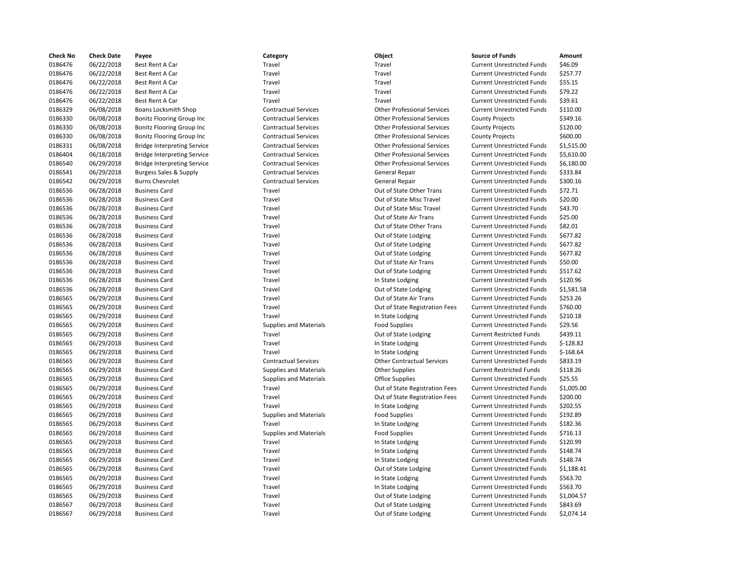| <b>Check No</b> | <b>Check Date</b> | Payee                              | Category                      | Object                             | <b>Source of Funds</b>            | Amount     |
|-----------------|-------------------|------------------------------------|-------------------------------|------------------------------------|-----------------------------------|------------|
| 0186476         | 06/22/2018        | Best Rent A Car                    | Travel                        | Travel                             | <b>Current Unrestricted Funds</b> | \$46.09    |
| 0186476         | 06/22/2018        | Best Rent A Car                    | Travel                        | Travel                             | <b>Current Unrestricted Funds</b> | \$257.77   |
| 0186476         | 06/22/2018        | Best Rent A Car                    | Travel                        | Travel                             | <b>Current Unrestricted Funds</b> | \$55.15    |
| 0186476         | 06/22/2018        | Best Rent A Car                    | Travel                        | Travel                             | <b>Current Unrestricted Funds</b> | \$79.22    |
| 0186476         | 06/22/2018        | Best Rent A Car                    | Travel                        | Travel                             | <b>Current Unrestricted Funds</b> | \$39.61    |
| 0186329         | 06/08/2018        | <b>Boans Locksmith Shop</b>        | <b>Contractual Services</b>   | <b>Other Professional Services</b> | <b>Current Unrestricted Funds</b> | \$110.00   |
| 0186330         | 06/08/2018        | Bonitz Flooring Group Inc          | <b>Contractual Services</b>   | <b>Other Professional Services</b> | <b>County Projects</b>            | \$349.16   |
| 0186330         | 06/08/2018        | Bonitz Flooring Group Inc          | <b>Contractual Services</b>   | <b>Other Professional Services</b> | <b>County Projects</b>            | \$120.00   |
| 0186330         | 06/08/2018        | Bonitz Flooring Group Inc          | <b>Contractual Services</b>   | <b>Other Professional Services</b> | <b>County Projects</b>            | \$600.00   |
| 0186331         | 06/08/2018        | <b>Bridge Interpreting Service</b> | <b>Contractual Services</b>   | <b>Other Professional Services</b> | <b>Current Unrestricted Funds</b> | \$1,515.00 |
| 0186404         | 06/18/2018        | <b>Bridge Interpreting Service</b> | <b>Contractual Services</b>   | <b>Other Professional Services</b> | <b>Current Unrestricted Funds</b> | \$5,610.00 |
| 0186540         | 06/29/2018        | <b>Bridge Interpreting Service</b> | <b>Contractual Services</b>   | <b>Other Professional Services</b> | <b>Current Unrestricted Funds</b> | \$6,180.00 |
| 0186541         | 06/29/2018        | <b>Burgess Sales &amp; Supply</b>  | <b>Contractual Services</b>   | <b>General Repair</b>              | <b>Current Unrestricted Funds</b> | \$333.84   |
| 0186542         | 06/29/2018        | <b>Burns Chevrolet</b>             | <b>Contractual Services</b>   | <b>General Repair</b>              | <b>Current Unrestricted Funds</b> | \$300.16   |
| 0186536         | 06/28/2018        | <b>Business Card</b>               | Travel                        | Out of State Other Trans           | <b>Current Unrestricted Funds</b> | \$72.71    |
| 0186536         | 06/28/2018        | <b>Business Card</b>               | Travel                        | Out of State Misc Travel           | <b>Current Unrestricted Funds</b> | \$20.00    |
| 0186536         | 06/28/2018        | <b>Business Card</b>               | Travel                        | Out of State Misc Travel           | <b>Current Unrestricted Funds</b> | \$43.70    |
| 0186536         | 06/28/2018        | <b>Business Card</b>               | Travel                        | Out of State Air Trans             | <b>Current Unrestricted Funds</b> | \$25.00    |
| 0186536         | 06/28/2018        | <b>Business Card</b>               | Travel                        | Out of State Other Trans           | <b>Current Unrestricted Funds</b> | \$82.01    |
| 0186536         | 06/28/2018        | <b>Business Card</b>               | Travel                        | Out of State Lodging               | <b>Current Unrestricted Funds</b> | \$677.82   |
| 0186536         | 06/28/2018        | <b>Business Card</b>               | Travel                        | Out of State Lodging               | <b>Current Unrestricted Funds</b> | \$677.82   |
| 0186536         | 06/28/2018        | <b>Business Card</b>               | Travel                        | Out of State Lodging               | <b>Current Unrestricted Funds</b> | \$677.82   |
| 0186536         | 06/28/2018        | <b>Business Card</b>               | Travel                        | Out of State Air Trans             | <b>Current Unrestricted Funds</b> | \$50.00    |
| 0186536         | 06/28/2018        | <b>Business Card</b>               | Travel                        | Out of State Lodging               | <b>Current Unrestricted Funds</b> | \$517.62   |
| 0186536         | 06/28/2018        | <b>Business Card</b>               | Travel                        | In State Lodging                   | <b>Current Unrestricted Funds</b> | \$120.96   |
| 0186536         | 06/28/2018        | <b>Business Card</b>               | Travel                        | Out of State Lodging               | <b>Current Unrestricted Funds</b> | \$1,581.58 |
| 0186565         | 06/29/2018        | <b>Business Card</b>               | Travel                        | Out of State Air Trans             | <b>Current Unrestricted Funds</b> | \$253.26   |
| 0186565         | 06/29/2018        | <b>Business Card</b>               | Travel                        | Out of State Registration Fees     | <b>Current Unrestricted Funds</b> | \$760.00   |
| 0186565         | 06/29/2018        | <b>Business Card</b>               | Travel                        | In State Lodging                   | <b>Current Unrestricted Funds</b> | \$210.18   |
| 0186565         | 06/29/2018        | <b>Business Card</b>               | <b>Supplies and Materials</b> | <b>Food Supplies</b>               | <b>Current Unrestricted Funds</b> | \$29.56    |
| 0186565         | 06/29/2018        | <b>Business Card</b>               | Travel                        | Out of State Lodging               | <b>Current Restricted Funds</b>   | \$439.11   |
| 0186565         | 06/29/2018        | <b>Business Card</b>               | Travel                        | In State Lodging                   | <b>Current Unrestricted Funds</b> | $$-128.82$ |
| 0186565         | 06/29/2018        | <b>Business Card</b>               | Travel                        | In State Lodging                   | <b>Current Unrestricted Funds</b> | $$-168.64$ |
| 0186565         | 06/29/2018        | <b>Business Card</b>               | <b>Contractual Services</b>   | <b>Other Contractual Services</b>  | <b>Current Unrestricted Funds</b> | \$833.19   |
| 0186565         | 06/29/2018        | <b>Business Card</b>               | <b>Supplies and Materials</b> | <b>Other Supplies</b>              | <b>Current Restricted Funds</b>   | \$118.26   |
| 0186565         | 06/29/2018        | <b>Business Card</b>               | <b>Supplies and Materials</b> | <b>Office Supplies</b>             | <b>Current Unrestricted Funds</b> | \$25.55    |
| 0186565         | 06/29/2018        | <b>Business Card</b>               | Travel                        | Out of State Registration Fees     | <b>Current Unrestricted Funds</b> | \$1,005.00 |
| 0186565         | 06/29/2018        | <b>Business Card</b>               | Travel                        | Out of State Registration Fees     | <b>Current Unrestricted Funds</b> | \$200.00   |
| 0186565         | 06/29/2018        | <b>Business Card</b>               | Travel                        | In State Lodging                   | <b>Current Unrestricted Funds</b> | \$202.55   |
| 0186565         | 06/29/2018        | <b>Business Card</b>               | <b>Supplies and Materials</b> | <b>Food Supplies</b>               | <b>Current Unrestricted Funds</b> | \$192.89   |
| 0186565         | 06/29/2018        | <b>Business Card</b>               | Travel                        | In State Lodging                   | <b>Current Unrestricted Funds</b> | \$182.36   |
| 0186565         | 06/29/2018        | <b>Business Card</b>               | <b>Supplies and Materials</b> | <b>Food Supplies</b>               | <b>Current Unrestricted Funds</b> | \$716.13   |
| 0186565         | 06/29/2018        | <b>Business Card</b>               | Travel                        | In State Lodging                   | <b>Current Unrestricted Funds</b> | \$120.99   |
| 0186565         | 06/29/2018        | <b>Business Card</b>               | Travel                        | In State Lodging                   | <b>Current Unrestricted Funds</b> | \$148.74   |
| 0186565         | 06/29/2018        | <b>Business Card</b>               | Travel                        | In State Lodging                   | <b>Current Unrestricted Funds</b> | \$148.74   |
| 0186565         | 06/29/2018        | <b>Business Card</b>               | Travel                        | Out of State Lodging               | <b>Current Unrestricted Funds</b> | \$1,188.41 |
| 0186565         | 06/29/2018        | <b>Business Card</b>               | Travel                        | In State Lodging                   | <b>Current Unrestricted Funds</b> | \$563.70   |
| 0186565         | 06/29/2018        | <b>Business Card</b>               | Travel                        | In State Lodging                   | <b>Current Unrestricted Funds</b> | \$563.70   |
| 0186565         | 06/29/2018        | <b>Business Card</b>               | Travel                        | Out of State Lodging               | <b>Current Unrestricted Funds</b> | \$1,004.57 |
| 0186567         | 06/29/2018        | <b>Business Card</b>               | Travel                        | Out of State Lodging               | <b>Current Unrestricted Funds</b> | \$843.69   |
| 0186567         | 06/29/2018        | <b>Business Card</b>               | Travel                        | Out of State Lodging               | <b>Current Unrestricted Funds</b> | \$2,074.14 |
|                 |                   |                                    |                               |                                    |                                   |            |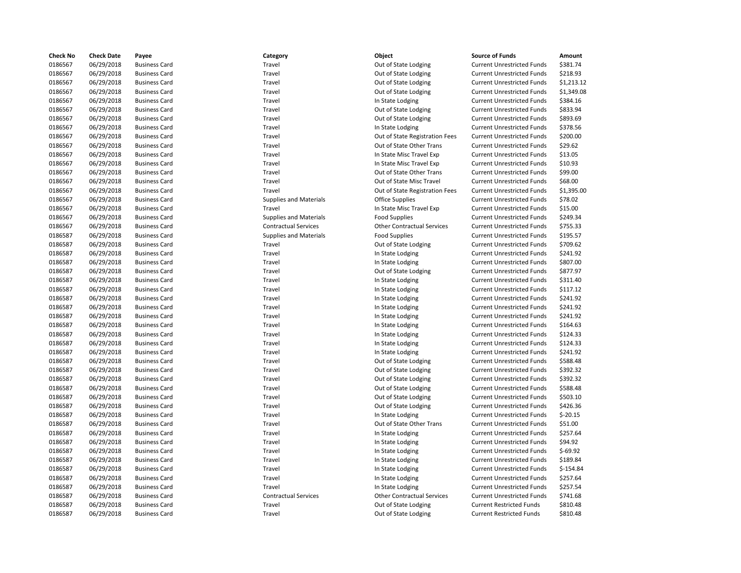| <b>Check No</b>    | <b>Check Date</b>        | Payee                                        | Category                      | Object                                                    | <b>Source of Funds</b>                                                 | Amount                 |
|--------------------|--------------------------|----------------------------------------------|-------------------------------|-----------------------------------------------------------|------------------------------------------------------------------------|------------------------|
| 0186567            | 06/29/2018               | <b>Business Card</b>                         | Travel                        | Out of State Lodging                                      | <b>Current Unrestricted Funds</b>                                      | \$381.74               |
| 0186567            | 06/29/2018               | <b>Business Card</b>                         | Travel                        | Out of State Lodging                                      | <b>Current Unrestricted Funds</b>                                      | \$218.93               |
| 0186567            | 06/29/2018               | <b>Business Card</b>                         | Travel                        | Out of State Lodging                                      | <b>Current Unrestricted Funds</b>                                      | \$1,213.12             |
| 0186567            | 06/29/2018               | <b>Business Card</b>                         | Travel                        | Out of State Lodging                                      | <b>Current Unrestricted Funds</b>                                      | \$1,349.08             |
| 0186567            | 06/29/2018               | <b>Business Card</b>                         | Travel                        | In State Lodging                                          | <b>Current Unrestricted Funds</b>                                      | \$384.16               |
| 0186567            | 06/29/2018               | <b>Business Card</b>                         | Travel                        | Out of State Lodging                                      | <b>Current Unrestricted Funds</b>                                      | \$833.94               |
| 0186567            | 06/29/2018               | <b>Business Card</b>                         | Travel                        | Out of State Lodging                                      | <b>Current Unrestricted Funds</b>                                      | \$893.69               |
| 0186567            | 06/29/2018               | <b>Business Card</b>                         | Travel                        | In State Lodging                                          | <b>Current Unrestricted Funds</b>                                      | \$378.56               |
| 0186567            | 06/29/2018               | <b>Business Card</b>                         | Travel                        | Out of State Registration Fees                            | <b>Current Unrestricted Funds</b>                                      | \$200.00               |
| 0186567            | 06/29/2018               | <b>Business Card</b>                         | Travel                        | Out of State Other Trans                                  | <b>Current Unrestricted Funds</b>                                      | \$29.62                |
| 0186567            | 06/29/2018               | <b>Business Card</b>                         | Travel                        | In State Misc Travel Exp                                  | <b>Current Unrestricted Funds</b>                                      | \$13.05                |
| 0186567            | 06/29/2018               | <b>Business Card</b>                         | Travel                        | In State Misc Travel Exp                                  | <b>Current Unrestricted Funds</b>                                      | \$10.93                |
| 0186567            | 06/29/2018               | <b>Business Card</b>                         | Travel                        | Out of State Other Trans                                  | <b>Current Unrestricted Funds</b>                                      | \$99.00                |
| 0186567            | 06/29/2018               | <b>Business Card</b>                         | Travel                        | Out of State Misc Travel                                  | <b>Current Unrestricted Funds</b>                                      | \$68.00                |
| 0186567            | 06/29/2018               | <b>Business Card</b>                         | Travel                        | Out of State Registration Fees                            | <b>Current Unrestricted Funds</b>                                      | \$1,395.00             |
| 0186567            | 06/29/2018               | <b>Business Card</b>                         | <b>Supplies and Materials</b> | <b>Office Supplies</b>                                    | <b>Current Unrestricted Funds</b>                                      | \$78.02                |
| 0186567            | 06/29/2018               | <b>Business Card</b>                         | Travel                        | In State Misc Travel Exp                                  | <b>Current Unrestricted Funds</b>                                      | \$15.00                |
| 0186567            | 06/29/2018               | <b>Business Card</b>                         | <b>Supplies and Materials</b> | <b>Food Supplies</b>                                      | <b>Current Unrestricted Funds</b>                                      | \$249.34               |
| 0186567            | 06/29/2018               | <b>Business Card</b>                         | <b>Contractual Services</b>   | <b>Other Contractual Services</b>                         | <b>Current Unrestricted Funds</b>                                      | \$755.33               |
| 0186587            | 06/29/2018               | <b>Business Card</b>                         | <b>Supplies and Materials</b> | <b>Food Supplies</b>                                      | <b>Current Unrestricted Funds</b>                                      | \$195.57               |
| 0186587            | 06/29/2018               | <b>Business Card</b>                         | Travel                        | Out of State Lodging                                      | <b>Current Unrestricted Funds</b>                                      | \$709.62               |
| 0186587            | 06/29/2018               | <b>Business Card</b>                         | Travel                        | In State Lodging                                          | <b>Current Unrestricted Funds</b>                                      | \$241.92               |
| 0186587            | 06/29/2018               | <b>Business Card</b>                         | Travel                        | In State Lodging                                          | <b>Current Unrestricted Funds</b>                                      | \$807.00               |
| 0186587            | 06/29/2018               | <b>Business Card</b>                         | Travel                        | Out of State Lodging                                      | <b>Current Unrestricted Funds</b>                                      | \$877.97               |
| 0186587            | 06/29/2018               | <b>Business Card</b>                         | Travel                        | In State Lodging                                          | <b>Current Unrestricted Funds</b>                                      | \$311.40               |
| 0186587            | 06/29/2018               | <b>Business Card</b>                         | Travel                        | In State Lodging                                          | <b>Current Unrestricted Funds</b>                                      | \$117.12               |
| 0186587            | 06/29/2018               | <b>Business Card</b>                         | Travel                        | In State Lodging                                          | <b>Current Unrestricted Funds</b>                                      | \$241.92               |
| 0186587            | 06/29/2018               | <b>Business Card</b>                         | Travel                        | In State Lodging                                          | <b>Current Unrestricted Funds</b>                                      | \$241.92               |
| 0186587            | 06/29/2018               | <b>Business Card</b>                         | Travel                        | In State Lodging                                          | <b>Current Unrestricted Funds</b>                                      | \$241.92               |
| 0186587            | 06/29/2018               | <b>Business Card</b>                         | Travel                        | In State Lodging                                          | <b>Current Unrestricted Funds</b>                                      | \$164.63               |
| 0186587            | 06/29/2018               | <b>Business Card</b>                         | Travel                        | In State Lodging                                          | <b>Current Unrestricted Funds</b>                                      | \$124.33               |
| 0186587            | 06/29/2018               | <b>Business Card</b>                         | Travel                        | In State Lodging                                          | <b>Current Unrestricted Funds</b>                                      | \$124.33               |
| 0186587            | 06/29/2018               | <b>Business Card</b>                         | Travel                        | In State Lodging                                          | <b>Current Unrestricted Funds</b>                                      | \$241.92               |
| 0186587            | 06/29/2018               | <b>Business Card</b>                         | Travel                        | Out of State Lodging                                      | <b>Current Unrestricted Funds</b>                                      | \$588.48               |
| 0186587            | 06/29/2018               | <b>Business Card</b>                         | Travel                        | Out of State Lodging                                      | <b>Current Unrestricted Funds</b>                                      | \$392.32               |
| 0186587            | 06/29/2018               | <b>Business Card</b>                         | Travel                        | Out of State Lodging                                      | <b>Current Unrestricted Funds</b>                                      | \$392.32               |
| 0186587            | 06/29/2018               | <b>Business Card</b>                         | Travel                        | Out of State Lodging                                      | <b>Current Unrestricted Funds</b>                                      | \$588.48               |
| 0186587            | 06/29/2018               | <b>Business Card</b>                         | Travel                        | Out of State Lodging                                      | <b>Current Unrestricted Funds</b>                                      | \$503.10               |
| 0186587            | 06/29/2018               | <b>Business Card</b>                         | Travel                        | Out of State Lodging                                      | <b>Current Unrestricted Funds</b>                                      | \$426.36               |
| 0186587            | 06/29/2018               | <b>Business Card</b>                         | Travel                        | In State Lodging                                          | <b>Current Unrestricted Funds</b>                                      | $$-20.15$              |
| 0186587            | 06/29/2018               | <b>Business Card</b>                         | Travel                        | Out of State Other Trans                                  | <b>Current Unrestricted Funds</b>                                      | \$51.00                |
| 0186587            | 06/29/2018               | <b>Business Card</b>                         | Travel                        | In State Lodging                                          | <b>Current Unrestricted Funds</b>                                      | \$257.64               |
| 0186587            | 06/29/2018               | <b>Business Card</b>                         | Travel                        | In State Lodging                                          | <b>Current Unrestricted Funds</b>                                      | \$94.92                |
| 0186587            | 06/29/2018               | <b>Business Card</b>                         | Travel                        | In State Lodging                                          | <b>Current Unrestricted Funds</b>                                      | $$-69.92$              |
| 0186587            | 06/29/2018               | <b>Business Card</b>                         | Travel                        | In State Lodging                                          | <b>Current Unrestricted Funds</b>                                      | \$189.84               |
|                    |                          |                                              |                               |                                                           |                                                                        |                        |
| 0186587            | 06/29/2018               | <b>Business Card</b>                         | Travel<br>Travel              | In State Lodging                                          | <b>Current Unrestricted Funds</b>                                      | $$-154.84$<br>\$257.64 |
| 0186587<br>0186587 | 06/29/2018               | <b>Business Card</b><br><b>Business Card</b> | Travel                        | In State Lodging                                          | <b>Current Unrestricted Funds</b><br><b>Current Unrestricted Funds</b> | \$257.54               |
| 0186587            | 06/29/2018               |                                              | <b>Contractual Services</b>   | In State Lodging                                          | <b>Current Unrestricted Funds</b>                                      |                        |
| 0186587            | 06/29/2018<br>06/29/2018 | <b>Business Card</b><br><b>Business Card</b> | Travel                        | <b>Other Contractual Services</b><br>Out of State Lodging | <b>Current Restricted Funds</b>                                        | \$741.68<br>\$810.48   |
| 0186587            |                          |                                              |                               |                                                           |                                                                        | \$810.48               |
|                    | 06/29/2018               | <b>Business Card</b>                         | Travel                        | Out of State Lodging                                      | <b>Current Restricted Funds</b>                                        |                        |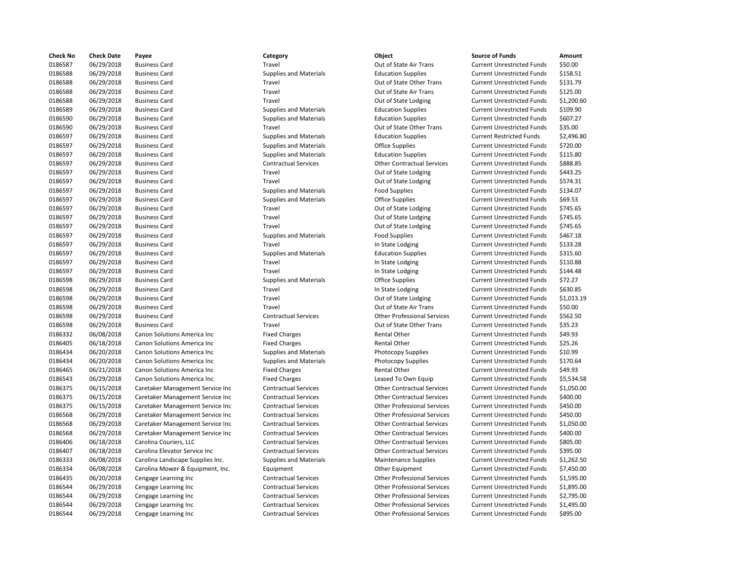| <b>Check No</b> | <b>Check Date</b> | Payee                            | Category                      | Object                             | <b>Source of Funds</b>            | Amount    |
|-----------------|-------------------|----------------------------------|-------------------------------|------------------------------------|-----------------------------------|-----------|
| 0186587         | 06/29/2018        | <b>Business Card</b>             | Travel                        | Out of State Air Trans             | <b>Current Unrestricted Funds</b> | \$50.00   |
| 0186588         | 06/29/2018        | <b>Business Card</b>             | <b>Supplies and Materials</b> | <b>Education Supplies</b>          | <b>Current Unrestricted Funds</b> | \$158.51  |
| 0186588         | 06/29/2018        | <b>Business Card</b>             | Travel                        | Out of State Other Trans           | <b>Current Unrestricted Funds</b> | \$131.79  |
| 0186588         | 06/29/2018        | <b>Business Card</b>             | Travel                        | Out of State Air Trans             | <b>Current Unrestricted Funds</b> | \$125.00  |
| 0186588         | 06/29/2018        | <b>Business Card</b>             | Travel                        | Out of State Lodging               | <b>Current Unrestricted Funds</b> | \$1,200.6 |
| 0186589         | 06/29/2018        | <b>Business Card</b>             | <b>Supplies and Materials</b> | <b>Education Supplies</b>          | <b>Current Unrestricted Funds</b> | \$109.90  |
| 0186590         | 06/29/2018        | <b>Business Card</b>             | <b>Supplies and Materials</b> | <b>Education Supplies</b>          | <b>Current Unrestricted Funds</b> | \$607.27  |
| 0186590         | 06/29/2018        | <b>Business Card</b>             | Travel                        | Out of State Other Trans           | <b>Current Unrestricted Funds</b> | \$35.00   |
| 0186597         | 06/29/2018        | <b>Business Card</b>             | <b>Supplies and Materials</b> | <b>Education Supplies</b>          | <b>Current Restricted Funds</b>   | \$2,496.8 |
| 0186597         | 06/29/2018        | <b>Business Card</b>             | <b>Supplies and Materials</b> | <b>Office Supplies</b>             | <b>Current Unrestricted Funds</b> | \$720.00  |
| 0186597         | 06/29/2018        | <b>Business Card</b>             | <b>Supplies and Materials</b> | <b>Education Supplies</b>          | <b>Current Unrestricted Funds</b> | \$115.80  |
| 0186597         | 06/29/2018        | <b>Business Card</b>             | <b>Contractual Services</b>   | <b>Other Contractual Services</b>  | <b>Current Unrestricted Funds</b> | \$888.85  |
| 0186597         | 06/29/2018        | <b>Business Card</b>             | Travel                        | Out of State Lodging               | <b>Current Unrestricted Funds</b> | \$443.25  |
| 0186597         | 06/29/2018        | <b>Business Card</b>             | Travel                        | Out of State Lodging               | <b>Current Unrestricted Funds</b> | \$574.31  |
| 0186597         | 06/29/2018        | <b>Business Card</b>             | <b>Supplies and Materials</b> | <b>Food Supplies</b>               | <b>Current Unrestricted Funds</b> | \$134.07  |
| 0186597         | 06/29/2018        | <b>Business Card</b>             | <b>Supplies and Materials</b> | <b>Office Supplies</b>             | <b>Current Unrestricted Funds</b> | \$69.53   |
| 0186597         | 06/29/2018        | <b>Business Card</b>             | Travel                        | Out of State Lodging               | <b>Current Unrestricted Funds</b> | \$745.65  |
| 0186597         | 06/29/2018        | <b>Business Card</b>             | Travel                        | Out of State Lodging               | <b>Current Unrestricted Funds</b> | \$745.65  |
| 0186597         | 06/29/2018        | <b>Business Card</b>             | Travel                        | Out of State Lodging               | <b>Current Unrestricted Funds</b> | \$745.65  |
| 0186597         | 06/29/2018        | <b>Business Card</b>             | <b>Supplies and Materials</b> | <b>Food Supplies</b>               | <b>Current Unrestricted Funds</b> | \$467.18  |
| 0186597         | 06/29/2018        | <b>Business Card</b>             | Travel                        | In State Lodging                   | <b>Current Unrestricted Funds</b> | \$133.28  |
| 0186597         | 06/29/2018        | <b>Business Card</b>             | <b>Supplies and Materials</b> | <b>Education Supplies</b>          | <b>Current Unrestricted Funds</b> | \$315.60  |
| 0186597         | 06/29/2018        | <b>Business Card</b>             | Travel                        | In State Lodging                   | <b>Current Unrestricted Funds</b> | \$110.88  |
| 0186597         | 06/29/2018        | <b>Business Card</b>             | Travel                        | In State Lodging                   | <b>Current Unrestricted Funds</b> | \$144.48  |
| 0186598         | 06/29/2018        | <b>Business Card</b>             | <b>Supplies and Materials</b> | <b>Office Supplies</b>             | <b>Current Unrestricted Funds</b> | \$72.27   |
| 0186598         | 06/29/2018        | <b>Business Card</b>             | Travel                        | In State Lodging                   | <b>Current Unrestricted Funds</b> | \$630.85  |
| 0186598         | 06/29/2018        | <b>Business Card</b>             | Travel                        | Out of State Lodging               | <b>Current Unrestricted Funds</b> | \$1,013.1 |
| 0186598         | 06/29/2018        | <b>Business Card</b>             | Travel                        | Out of State Air Trans             | <b>Current Unrestricted Funds</b> | \$50.00   |
| 0186598         | 06/29/2018        | <b>Business Card</b>             | <b>Contractual Services</b>   | <b>Other Professional Services</b> | <b>Current Unrestricted Funds</b> | \$562.50  |
| 0186598         | 06/29/2018        | <b>Business Card</b>             | Travel                        | Out of State Other Trans           | <b>Current Unrestricted Funds</b> | \$35.23   |
| 0186332         | 06/08/2018        | Canon Solutions America Inc      | <b>Fixed Charges</b>          | Rental Other                       | <b>Current Unrestricted Funds</b> | \$49.93   |
| 0186405         | 06/18/2018        | Canon Solutions America Inc      | <b>Fixed Charges</b>          | Rental Other                       | <b>Current Unrestricted Funds</b> | \$25.26   |
| 0186434         | 06/20/2018        | Canon Solutions America Inc      | <b>Supplies and Materials</b> | Photocopy Supplies                 | <b>Current Unrestricted Funds</b> | \$10.99   |
| 0186434         | 06/20/2018        | Canon Solutions America Inc      | <b>Supplies and Materials</b> | Photocopy Supplies                 | <b>Current Unrestricted Funds</b> | \$170.64  |
| 0186465         | 06/21/2018        | Canon Solutions America Inc      | <b>Fixed Charges</b>          | Rental Other                       | <b>Current Unrestricted Funds</b> | \$49.93   |
| 0186543         | 06/29/2018        | Canon Solutions America Inc      | <b>Fixed Charges</b>          | Leased To Own Equip                | <b>Current Unrestricted Funds</b> | \$5,534.5 |
| 0186375         | 06/15/2018        | Caretaker Management Service Inc | <b>Contractual Services</b>   | <b>Other Contractual Services</b>  | <b>Current Unrestricted Funds</b> | \$1,050.0 |
| 0186375         | 06/15/2018        | Caretaker Management Service Inc | <b>Contractual Services</b>   | <b>Other Contractual Services</b>  | <b>Current Unrestricted Funds</b> | \$400.00  |
| 0186375         | 06/15/2018        | Caretaker Management Service Inc | <b>Contractual Services</b>   | <b>Other Professional Services</b> | <b>Current Unrestricted Funds</b> | \$450.00  |
| 0186568         | 06/29/2018        | Caretaker Management Service Inc | <b>Contractual Services</b>   | <b>Other Professional Services</b> | <b>Current Unrestricted Funds</b> | \$450.00  |
| 0186568         | 06/29/2018        | Caretaker Management Service Inc | <b>Contractual Services</b>   | <b>Other Contractual Services</b>  | <b>Current Unrestricted Funds</b> | \$1,050.0 |
| 0186568         | 06/29/2018        | Caretaker Management Service Inc | <b>Contractual Services</b>   | <b>Other Contractual Services</b>  | <b>Current Unrestricted Funds</b> | \$400.00  |
| 0186406         | 06/18/2018        | Carolina Couriers, LLC           | <b>Contractual Services</b>   | <b>Other Contractual Services</b>  | <b>Current Unrestricted Funds</b> | \$805.00  |
| 0186407         | 06/18/2018        | Carolina Elevator Service Inc    | <b>Contractual Services</b>   | <b>Other Contractual Services</b>  | <b>Current Unrestricted Funds</b> | \$395.00  |
| 0186333         | 06/08/2018        | Carolina Landscape Supplies Inc. | <b>Supplies and Materials</b> | <b>Maintenance Supplies</b>        | <b>Current Unrestricted Funds</b> | \$1,262.5 |
| 0186334         | 06/08/2018        | Carolina Mower & Equipment, Inc. | Equipment                     | Other Equipment                    | <b>Current Unrestricted Funds</b> | \$7,450.0 |
| 0186435         | 06/20/2018        | Cengage Learning Inc             | <b>Contractual Services</b>   | <b>Other Professional Services</b> | <b>Current Unrestricted Funds</b> | \$1,595.0 |
| 0186544         | 06/29/2018        | Cengage Learning Inc             | <b>Contractual Services</b>   | <b>Other Professional Services</b> | <b>Current Unrestricted Funds</b> | \$1,895.0 |
| 0186544         | 06/29/2018        | Cengage Learning Inc             | <b>Contractual Services</b>   | <b>Other Professional Services</b> | <b>Current Unrestricted Funds</b> | \$2,795.0 |
| 0186544         | 06/29/2018        | Cengage Learning Inc             | <b>Contractual Services</b>   | <b>Other Professional Services</b> | <b>Current Unrestricted Funds</b> | \$1,495.0 |
| 0186544         | 06/29/2018        | Cengage Learning Inc.            | <b>Contractual Services</b>   | <b>Other Professional Services</b> | <b>Current Unrestricted Funds</b> | \$895.00  |
|                 |                   |                                  |                               |                                    |                                   |           |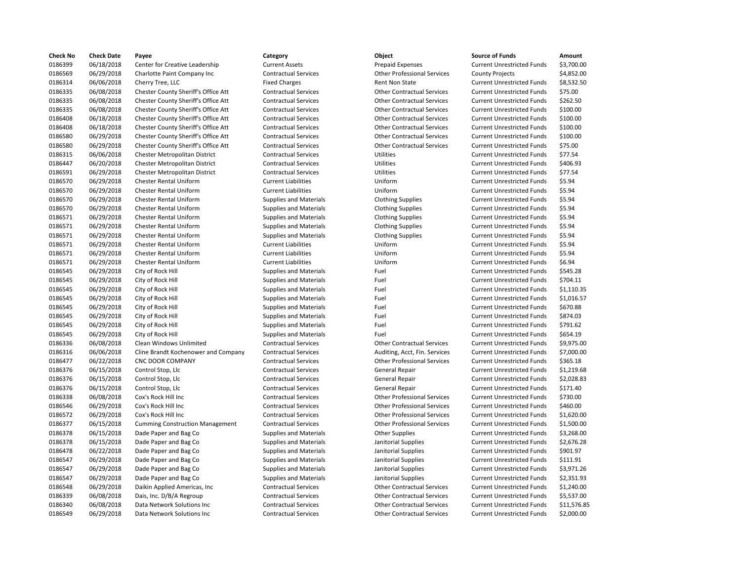| <b>Check No</b> | <b>Check Date</b> | Payee                                  | Category                      | Object                             | <b>Source of Funds</b>            | Amount     |
|-----------------|-------------------|----------------------------------------|-------------------------------|------------------------------------|-----------------------------------|------------|
| 0186399         | 06/18/2018        | Center for Creative Leadership         | <b>Current Assets</b>         | <b>Prepaid Expenses</b>            | <b>Current Unrestricted Funds</b> | \$3.700.00 |
| 0186569         | 06/29/2018        | Charlotte Paint Company Inc            | <b>Contractual Services</b>   | <b>Other Professional Services</b> | <b>County Projects</b>            | \$4,852.00 |
| 0186314         | 06/06/2018        | Cherry Tree, LLC                       | <b>Fixed Charges</b>          | Rent Non State                     | <b>Current Unrestricted Funds</b> | \$8,532.50 |
| 0186335         | 06/08/2018        | Chester County Sheriff's Office Att    | <b>Contractual Services</b>   | <b>Other Contractual Services</b>  | <b>Current Unrestricted Funds</b> | \$75.00    |
| 0186335         | 06/08/2018        | Chester County Sheriff's Office Att    | <b>Contractual Services</b>   | <b>Other Contractual Services</b>  | <b>Current Unrestricted Funds</b> | \$262.50   |
| 0186335         | 06/08/2018        | Chester County Sheriff's Office Att    | <b>Contractual Services</b>   | <b>Other Contractual Services</b>  | <b>Current Unrestricted Funds</b> | \$100.00   |
| 0186408         | 06/18/2018        | Chester County Sheriff's Office Att    | <b>Contractual Services</b>   | <b>Other Contractual Services</b>  | <b>Current Unrestricted Funds</b> | \$100.00   |
| 0186408         | 06/18/2018        | Chester County Sheriff's Office Att    | <b>Contractual Services</b>   | <b>Other Contractual Services</b>  | <b>Current Unrestricted Funds</b> | \$100.00   |
| 0186580         | 06/29/2018        | Chester County Sheriff's Office Att    | <b>Contractual Services</b>   | <b>Other Contractual Services</b>  | <b>Current Unrestricted Funds</b> | \$100.00   |
| 0186580         | 06/29/2018        | Chester County Sheriff's Office Att    | <b>Contractual Services</b>   | <b>Other Contractual Services</b>  | <b>Current Unrestricted Funds</b> | \$75.00    |
| 0186315         | 06/06/2018        | Chester Metropolitan District          | <b>Contractual Services</b>   | Utilities                          | <b>Current Unrestricted Funds</b> | \$77.54    |
| 0186447         | 06/20/2018        | Chester Metropolitan District          | <b>Contractual Services</b>   | <b>Utilities</b>                   | <b>Current Unrestricted Funds</b> | \$406.93   |
| 0186591         | 06/29/2018        | Chester Metropolitan District          | <b>Contractual Services</b>   | Utilities                          | <b>Current Unrestricted Funds</b> | \$77.54    |
| 0186570         | 06/29/2018        | <b>Chester Rental Uniform</b>          | <b>Current Liabilities</b>    | Uniform                            | <b>Current Unrestricted Funds</b> | \$5.94     |
| 0186570         | 06/29/2018        | <b>Chester Rental Uniform</b>          | <b>Current Liabilities</b>    | Uniform                            | <b>Current Unrestricted Funds</b> | \$5.94     |
| 0186570         | 06/29/2018        | <b>Chester Rental Uniform</b>          | <b>Supplies and Materials</b> | <b>Clothing Supplies</b>           | <b>Current Unrestricted Funds</b> | \$5.94     |
| 0186570         | 06/29/2018        | <b>Chester Rental Uniform</b>          | <b>Supplies and Materials</b> | <b>Clothing Supplies</b>           | <b>Current Unrestricted Funds</b> | \$5.94     |
| 0186571         | 06/29/2018        | Chester Rental Uniform                 | <b>Supplies and Materials</b> | <b>Clothing Supplies</b>           | <b>Current Unrestricted Funds</b> | \$5.94     |
| 0186571         | 06/29/2018        | <b>Chester Rental Uniform</b>          | <b>Supplies and Materials</b> | <b>Clothing Supplies</b>           | <b>Current Unrestricted Funds</b> | \$5.94     |
| 0186571         | 06/29/2018        | <b>Chester Rental Uniform</b>          | <b>Supplies and Materials</b> | <b>Clothing Supplies</b>           | <b>Current Unrestricted Funds</b> | \$5.94     |
| 0186571         | 06/29/2018        | <b>Chester Rental Uniform</b>          | <b>Current Liabilities</b>    | Uniform                            | <b>Current Unrestricted Funds</b> | \$5.94     |
| 0186571         | 06/29/2018        | Chester Rental Uniform                 | <b>Current Liabilities</b>    | Uniform                            | <b>Current Unrestricted Funds</b> | \$5.94     |
| 0186571         | 06/29/2018        | <b>Chester Rental Uniform</b>          | <b>Current Liabilities</b>    | Uniform                            | <b>Current Unrestricted Funds</b> | \$6.94     |
| 0186545         | 06/29/2018        | City of Rock Hill                      | <b>Supplies and Materials</b> | Fuel                               | <b>Current Unrestricted Funds</b> | \$545.28   |
| 0186545         | 06/29/2018        | City of Rock Hill                      | <b>Supplies and Materials</b> | Fuel                               | <b>Current Unrestricted Funds</b> | \$704.11   |
| 0186545         | 06/29/2018        | City of Rock Hill                      | <b>Supplies and Materials</b> | Fuel                               | <b>Current Unrestricted Funds</b> | \$1,110.35 |
| 0186545         | 06/29/2018        | City of Rock Hill                      | <b>Supplies and Materials</b> | Fuel                               | <b>Current Unrestricted Funds</b> | \$1,016.57 |
| 0186545         | 06/29/2018        | City of Rock Hill                      | <b>Supplies and Materials</b> | Fuel                               | <b>Current Unrestricted Funds</b> | \$670.88   |
| 0186545         | 06/29/2018        | City of Rock Hill                      | <b>Supplies and Materials</b> | Fuel                               | <b>Current Unrestricted Funds</b> | \$874.03   |
| 0186545         | 06/29/2018        | City of Rock Hill                      | <b>Supplies and Materials</b> | Fuel                               | <b>Current Unrestricted Funds</b> | \$791.62   |
| 0186545         | 06/29/2018        | City of Rock Hill                      | <b>Supplies and Materials</b> | Fuel                               | <b>Current Unrestricted Funds</b> | \$654.19   |
| 0186336         | 06/08/2018        | Clean Windows Unlimited                | <b>Contractual Services</b>   | <b>Other Contractual Services</b>  | <b>Current Unrestricted Funds</b> | \$9,975.00 |
| 0186316         | 06/06/2018        | Cline Brandt Kochenower and Company    | <b>Contractual Services</b>   | Auditing, Acct, Fin. Services      | <b>Current Unrestricted Funds</b> | \$7,000.00 |
| 0186477         | 06/22/2018        | <b>CNC DOOR COMPANY</b>                | <b>Contractual Services</b>   | <b>Other Professional Services</b> | <b>Current Unrestricted Funds</b> | \$365.18   |
| 0186376         | 06/15/2018        | Control Stop, Llc                      | <b>Contractual Services</b>   | <b>General Repair</b>              | <b>Current Unrestricted Funds</b> | \$1,219.68 |
| 0186376         | 06/15/2018        | Control Stop, Llc                      | <b>Contractual Services</b>   | <b>General Repair</b>              | <b>Current Unrestricted Funds</b> | \$2,028.83 |
| 0186376         | 06/15/2018        | Control Stop, Llc                      | <b>Contractual Services</b>   | General Repair                     | <b>Current Unrestricted Funds</b> | \$171.40   |
| 0186338         | 06/08/2018        | Cox's Rock Hill Inc                    | <b>Contractual Services</b>   | <b>Other Professional Services</b> | <b>Current Unrestricted Funds</b> | \$730.00   |
| 0186546         | 06/29/2018        | Cox's Rock Hill Inc                    | <b>Contractual Services</b>   | <b>Other Professional Services</b> | <b>Current Unrestricted Funds</b> | \$460.00   |
| 0186572         | 06/29/2018        | Cox's Rock Hill Inc                    | <b>Contractual Services</b>   | <b>Other Professional Services</b> | <b>Current Unrestricted Funds</b> | \$1,620.00 |
| 0186377         | 06/15/2018        | <b>Cumming Construction Management</b> | <b>Contractual Services</b>   | <b>Other Professional Services</b> | <b>Current Unrestricted Funds</b> | \$1,500.00 |
| 0186378         | 06/15/2018        | Dade Paper and Bag Co                  | <b>Supplies and Materials</b> | <b>Other Supplies</b>              | <b>Current Unrestricted Funds</b> | \$3,268.00 |
| 0186378         | 06/15/2018        | Dade Paper and Bag Co                  | <b>Supplies and Materials</b> | Janitorial Supplies                | <b>Current Unrestricted Funds</b> | \$2,676.28 |
| 0186478         | 06/22/2018        | Dade Paper and Bag Co                  | <b>Supplies and Materials</b> | Janitorial Supplies                | <b>Current Unrestricted Funds</b> | \$901.97   |
| 0186547         | 06/29/2018        | Dade Paper and Bag Co                  | <b>Supplies and Materials</b> | Janitorial Supplies                | <b>Current Unrestricted Funds</b> | \$111.91   |
| 0186547         | 06/29/2018        | Dade Paper and Bag Co                  | <b>Supplies and Materials</b> | Janitorial Supplies                | <b>Current Unrestricted Funds</b> | \$3,971.26 |
| 0186547         | 06/29/2018        | Dade Paper and Bag Co                  | <b>Supplies and Materials</b> | Janitorial Supplies                | <b>Current Unrestricted Funds</b> | \$2,351.93 |
| 0186548         | 06/29/2018        | Daikin Applied Americas, Inc.          | <b>Contractual Services</b>   | <b>Other Contractual Services</b>  | <b>Current Unrestricted Funds</b> | \$1,240.00 |
| 0186339         | 06/08/2018        | Dais, Inc. D/B/A Regroup               | <b>Contractual Services</b>   | <b>Other Contractual Services</b>  | <b>Current Unrestricted Funds</b> | \$5,537.00 |
| 0186340         | 06/08/2018        | Data Network Solutions Inc             | <b>Contractual Services</b>   | <b>Other Contractual Services</b>  | <b>Current Unrestricted Funds</b> | \$11,576.8 |
| 0186549         | 06/29/2018        | Data Network Solutions Inc             | <b>Contractual Services</b>   | <b>Other Contractual Services</b>  | <b>Current Unrestricted Funds</b> | \$2,000.00 |

| ategory               | Object                             | <b>Source of Funds</b>            | Amount     |
|-----------------------|------------------------------------|-----------------------------------|------------|
| urrent Assets         | <b>Prepaid Expenses</b>            | <b>Current Unrestricted Funds</b> | \$3,700.00 |
| ontractual Services   | <b>Other Professional Services</b> | <b>County Projects</b>            | \$4,852.00 |
| xed Charges           | <b>Rent Non State</b>              | <b>Current Unrestricted Funds</b> | \$8,532.50 |
| ontractual Services   | <b>Other Contractual Services</b>  | <b>Current Unrestricted Funds</b> | \$75.00    |
| ontractual Services   | <b>Other Contractual Services</b>  | <b>Current Unrestricted Funds</b> | \$262.50   |
| ontractual Services   | <b>Other Contractual Services</b>  | <b>Current Unrestricted Funds</b> | \$100.00   |
| ontractual Services   | <b>Other Contractual Services</b>  | <b>Current Unrestricted Funds</b> | \$100.00   |
| ontractual Services   | <b>Other Contractual Services</b>  | <b>Current Unrestricted Funds</b> | \$100.00   |
| ontractual Services   | <b>Other Contractual Services</b>  | <b>Current Unrestricted Funds</b> | \$100.00   |
| ontractual Services   | <b>Other Contractual Services</b>  | <b>Current Unrestricted Funds</b> | \$75.00    |
| ontractual Services   | <b>Utilities</b>                   | <b>Current Unrestricted Funds</b> | \$77.54    |
| ontractual Services   | <b>Utilities</b>                   | <b>Current Unrestricted Funds</b> | \$406.93   |
| ontractual Services   | <b>Utilities</b>                   | <b>Current Unrestricted Funds</b> | \$77.54    |
| urrent Liabilities    | Uniform                            | <b>Current Unrestricted Funds</b> | \$5.94     |
| urrent Liabilities    | Uniform                            | <b>Current Unrestricted Funds</b> | \$5.94     |
| upplies and Materials | <b>Clothing Supplies</b>           | <b>Current Unrestricted Funds</b> | \$5.94     |
| upplies and Materials | <b>Clothing Supplies</b>           | <b>Current Unrestricted Funds</b> | \$5.94     |
| upplies and Materials | <b>Clothing Supplies</b>           | <b>Current Unrestricted Funds</b> | \$5.94     |
| upplies and Materials | <b>Clothing Supplies</b>           | <b>Current Unrestricted Funds</b> | \$5.94     |
| upplies and Materials | <b>Clothing Supplies</b>           | <b>Current Unrestricted Funds</b> | \$5.94     |
| urrent Liabilities    | Uniform                            | <b>Current Unrestricted Funds</b> | \$5.94     |
| urrent Liabilities    | Uniform                            | <b>Current Unrestricted Funds</b> | \$5.94     |
| urrent Liabilities    | Uniform                            | <b>Current Unrestricted Funds</b> | \$6.94     |
| upplies and Materials | Fuel                               | <b>Current Unrestricted Funds</b> | \$545.28   |
| upplies and Materials | Fuel                               | <b>Current Unrestricted Funds</b> | \$704.11   |
| upplies and Materials | Fuel                               | <b>Current Unrestricted Funds</b> | \$1,110.35 |
| upplies and Materials | Fuel                               | <b>Current Unrestricted Funds</b> | \$1,016.57 |
| upplies and Materials | Fuel                               | <b>Current Unrestricted Funds</b> | \$670.88   |
| upplies and Materials | Fuel                               | <b>Current Unrestricted Funds</b> | \$874.03   |
| upplies and Materials | Fuel                               | <b>Current Unrestricted Funds</b> | \$791.62   |
| upplies and Materials | Fuel                               | <b>Current Unrestricted Funds</b> | \$654.19   |
| ontractual Services   | <b>Other Contractual Services</b>  | <b>Current Unrestricted Funds</b> | \$9,975.00 |
| ontractual Services   | Auditing, Acct, Fin. Services      | <b>Current Unrestricted Funds</b> | \$7,000.00 |
| ontractual Services   | <b>Other Professional Services</b> | <b>Current Unrestricted Funds</b> | \$365.18   |
| ontractual Services   | <b>General Repair</b>              | <b>Current Unrestricted Funds</b> | \$1,219.68 |
| ontractual Services   | General Repair                     | <b>Current Unrestricted Funds</b> | \$2,028.83 |
| ontractual Services   | <b>General Repair</b>              | <b>Current Unrestricted Funds</b> | \$171.40   |
| ontractual Services   | <b>Other Professional Services</b> | <b>Current Unrestricted Funds</b> | \$730.00   |
| ontractual Services   | <b>Other Professional Services</b> | <b>Current Unrestricted Funds</b> | \$460.00   |
| ontractual Services   | <b>Other Professional Services</b> | <b>Current Unrestricted Funds</b> | \$1,620.00 |
| ontractual Services   | <b>Other Professional Services</b> | <b>Current Unrestricted Funds</b> | \$1,500.00 |
| upplies and Materials | <b>Other Supplies</b>              | <b>Current Unrestricted Funds</b> | \$3,268.00 |
| upplies and Materials | Janitorial Supplies                | <b>Current Unrestricted Funds</b> | \$2,676.28 |
| upplies and Materials | Janitorial Supplies                | <b>Current Unrestricted Funds</b> | \$901.97   |
| upplies and Materials | Janitorial Supplies                | <b>Current Unrestricted Funds</b> | \$111.91   |
| upplies and Materials | Janitorial Supplies                | <b>Current Unrestricted Funds</b> | \$3,971.26 |
| upplies and Materials | Janitorial Supplies                | <b>Current Unrestricted Funds</b> | \$2,351.93 |
| ontractual Services   | <b>Other Contractual Services</b>  | <b>Current Unrestricted Funds</b> | \$1,240.00 |
| ontractual Services   | <b>Other Contractual Services</b>  | <b>Current Unrestricted Funds</b> | \$5,537.00 |
| ontractual Services   | <b>Other Contractual Services</b>  | <b>Current Unrestricted Funds</b> | \$11,576.8 |
| ontractual Services   | <b>Other Contractual Services</b>  | <b>Current Unrestricted Funds</b> | \$2,000.00 |
|                       |                                    |                                   |            |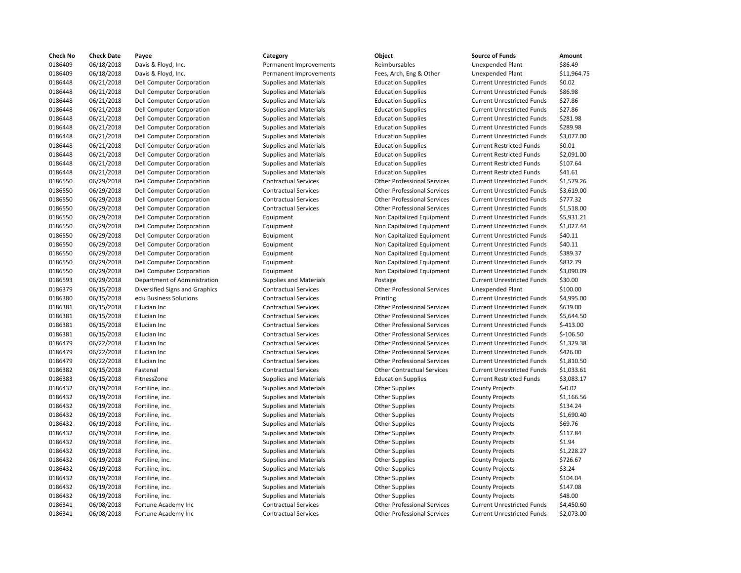| <b>Check No</b> | <b>Check Date</b> | Payee                            | Category                      | Object                             | <b>Source of Funds</b>            | Amount     |
|-----------------|-------------------|----------------------------------|-------------------------------|------------------------------------|-----------------------------------|------------|
| 0186409         | 06/18/2018        | Davis & Floyd, Inc.              | Permanent Improvements        | Reimbursables                      | <b>Unexpended Plant</b>           | \$86.49    |
| 0186409         | 06/18/2018        | Davis & Floyd, Inc.              | Permanent Improvements        | Fees, Arch, Eng & Other            | <b>Unexpended Plant</b>           | \$11,964.7 |
| 0186448         | 06/21/2018        | <b>Dell Computer Corporation</b> | <b>Supplies and Materials</b> | <b>Education Supplies</b>          | <b>Current Unrestricted Funds</b> | \$0.02     |
| 0186448         | 06/21/2018        | Dell Computer Corporation        | <b>Supplies and Materials</b> | <b>Education Supplies</b>          | <b>Current Unrestricted Funds</b> | \$86.98    |
| 0186448         | 06/21/2018        | Dell Computer Corporation        | <b>Supplies and Materials</b> | <b>Education Supplies</b>          | <b>Current Unrestricted Funds</b> | \$27.86    |
| 0186448         | 06/21/2018        | Dell Computer Corporation        | <b>Supplies and Materials</b> | <b>Education Supplies</b>          | <b>Current Unrestricted Funds</b> | \$27.86    |
| 0186448         | 06/21/2018        | <b>Dell Computer Corporation</b> | <b>Supplies and Materials</b> | <b>Education Supplies</b>          | <b>Current Unrestricted Funds</b> | \$281.98   |
| 0186448         | 06/21/2018        | Dell Computer Corporation        | <b>Supplies and Materials</b> | <b>Education Supplies</b>          | <b>Current Unrestricted Funds</b> | \$289.98   |
| 0186448         | 06/21/2018        | <b>Dell Computer Corporation</b> | <b>Supplies and Materials</b> | <b>Education Supplies</b>          | <b>Current Unrestricted Funds</b> | \$3,077.00 |
| 0186448         | 06/21/2018        | Dell Computer Corporation        | <b>Supplies and Materials</b> | <b>Education Supplies</b>          | <b>Current Restricted Funds</b>   | \$0.01     |
| 0186448         | 06/21/2018        | Dell Computer Corporation        | <b>Supplies and Materials</b> | <b>Education Supplies</b>          | <b>Current Restricted Funds</b>   | \$2,091.00 |
| 0186448         | 06/21/2018        | Dell Computer Corporation        | <b>Supplies and Materials</b> | <b>Education Supplies</b>          | <b>Current Restricted Funds</b>   | \$107.64   |
| 0186448         | 06/21/2018        | Dell Computer Corporation        | <b>Supplies and Materials</b> | <b>Education Supplies</b>          | <b>Current Restricted Funds</b>   | \$41.61    |
| 0186550         | 06/29/2018        | Dell Computer Corporation        | <b>Contractual Services</b>   | <b>Other Professional Services</b> | <b>Current Unrestricted Funds</b> | \$1,579.26 |
| 0186550         | 06/29/2018        | Dell Computer Corporation        | <b>Contractual Services</b>   | <b>Other Professional Services</b> | <b>Current Unrestricted Funds</b> | \$3,619.00 |
| 0186550         | 06/29/2018        | Dell Computer Corporation        | <b>Contractual Services</b>   | <b>Other Professional Services</b> | <b>Current Unrestricted Funds</b> | \$777.32   |
| 0186550         | 06/29/2018        | Dell Computer Corporation        | <b>Contractual Services</b>   | <b>Other Professional Services</b> | <b>Current Unrestricted Funds</b> | \$1,518.00 |
| 0186550         | 06/29/2018        | Dell Computer Corporation        | Equipment                     | Non Capitalized Equipment          | <b>Current Unrestricted Funds</b> | \$5,931.21 |
| 0186550         | 06/29/2018        | Dell Computer Corporation        | Equipment                     | Non Capitalized Equipment          | <b>Current Unrestricted Funds</b> | \$1,027.44 |
| 0186550         | 06/29/2018        | Dell Computer Corporation        | Equipment                     | Non Capitalized Equipment          | <b>Current Unrestricted Funds</b> | \$40.11    |
| 0186550         | 06/29/2018        | <b>Dell Computer Corporation</b> | Equipment                     | Non Capitalized Equipment          | <b>Current Unrestricted Funds</b> | \$40.11    |
| 0186550         | 06/29/2018        | Dell Computer Corporation        | Equipment                     | Non Capitalized Equipment          | <b>Current Unrestricted Funds</b> | \$389.37   |
| 0186550         | 06/29/2018        | Dell Computer Corporation        | Equipment                     | Non Capitalized Equipment          | <b>Current Unrestricted Funds</b> | \$832.79   |
| 0186550         | 06/29/2018        | Dell Computer Corporation        | Equipment                     | Non Capitalized Equipment          | <b>Current Unrestricted Funds</b> | \$3,090.09 |
| 0186593         | 06/29/2018        | Department of Administration     | <b>Supplies and Materials</b> | Postage                            | <b>Current Unrestricted Funds</b> | \$30.00    |
| 0186379         | 06/15/2018        | Diversified Signs and Graphics   | <b>Contractual Services</b>   | <b>Other Professional Services</b> | <b>Unexpended Plant</b>           | \$100.00   |
| 0186380         | 06/15/2018        | edu Business Solutions           | <b>Contractual Services</b>   | Printing                           | <b>Current Unrestricted Funds</b> | \$4,995.00 |
| 0186381         | 06/15/2018        | Ellucian Inc                     | <b>Contractual Services</b>   | <b>Other Professional Services</b> | <b>Current Unrestricted Funds</b> | \$639.00   |
| 0186381         | 06/15/2018        | Ellucian Inc                     | <b>Contractual Services</b>   | <b>Other Professional Services</b> | <b>Current Unrestricted Funds</b> | \$5,644.50 |
| 0186381         | 06/15/2018        | Ellucian Inc                     | <b>Contractual Services</b>   | <b>Other Professional Services</b> | <b>Current Unrestricted Funds</b> | $$-413.00$ |
| 0186381         | 06/15/2018        | Ellucian Inc                     | <b>Contractual Services</b>   | <b>Other Professional Services</b> | <b>Current Unrestricted Funds</b> | $$-106.50$ |
| 0186479         | 06/22/2018        | Ellucian Inc                     | <b>Contractual Services</b>   | <b>Other Professional Services</b> | <b>Current Unrestricted Funds</b> | \$1,329.38 |
| 0186479         | 06/22/2018        | Ellucian Inc                     | <b>Contractual Services</b>   | <b>Other Professional Services</b> | <b>Current Unrestricted Funds</b> | \$426.00   |
| 0186479         | 06/22/2018        | Ellucian Inc                     | <b>Contractual Services</b>   | <b>Other Professional Services</b> | <b>Current Unrestricted Funds</b> | \$1,810.50 |
| 0186382         | 06/15/2018        | Fastenal                         | <b>Contractual Services</b>   | <b>Other Contractual Services</b>  | <b>Current Unrestricted Funds</b> | \$1,033.61 |
| 0186383         | 06/15/2018        | FitnessZone                      | Supplies and Materials        | <b>Education Supplies</b>          | <b>Current Restricted Funds</b>   | \$3,083.17 |
| 0186432         | 06/19/2018        | Fortiline, inc.                  | <b>Supplies and Materials</b> | <b>Other Supplies</b>              | <b>County Projects</b>            | $$-0.02$   |
| 0186432         | 06/19/2018        | Fortiline, inc.                  | <b>Supplies and Materials</b> | <b>Other Supplies</b>              | <b>County Projects</b>            | \$1,166.56 |
| 0186432         | 06/19/2018        | Fortiline, inc.                  | <b>Supplies and Materials</b> | <b>Other Supplies</b>              | <b>County Projects</b>            | \$134.24   |
| 0186432         | 06/19/2018        | Fortiline, inc.                  | <b>Supplies and Materials</b> | <b>Other Supplies</b>              | <b>County Projects</b>            | \$1,690.40 |
| 0186432         | 06/19/2018        | Fortiline, inc.                  | <b>Supplies and Materials</b> | <b>Other Supplies</b>              | <b>County Projects</b>            | \$69.76    |
| 0186432         | 06/19/2018        | Fortiline, inc.                  | <b>Supplies and Materials</b> | <b>Other Supplies</b>              | <b>County Projects</b>            | \$117.84   |
| 0186432         | 06/19/2018        | Fortiline, inc.                  | <b>Supplies and Materials</b> | <b>Other Supplies</b>              | <b>County Projects</b>            | \$1.94     |
| 0186432         | 06/19/2018        | Fortiline, inc.                  | <b>Supplies and Materials</b> | <b>Other Supplies</b>              | <b>County Projects</b>            | \$1,228.27 |
| 0186432         | 06/19/2018        | Fortiline, inc.                  | <b>Supplies and Materials</b> | <b>Other Supplies</b>              | <b>County Projects</b>            | \$726.67   |
| 0186432         | 06/19/2018        | Fortiline, inc.                  | <b>Supplies and Materials</b> | <b>Other Supplies</b>              | <b>County Projects</b>            | \$3.24     |
| 0186432         | 06/19/2018        | Fortiline, inc.                  | <b>Supplies and Materials</b> | <b>Other Supplies</b>              | <b>County Projects</b>            | \$104.04   |
| 0186432         | 06/19/2018        | Fortiline, inc.                  | <b>Supplies and Materials</b> | <b>Other Supplies</b>              | <b>County Projects</b>            | \$147.08   |
| 0186432         | 06/19/2018        | Fortiline, inc.                  | <b>Supplies and Materials</b> | <b>Other Supplies</b>              | <b>County Projects</b>            | \$48.00    |
| 0186341         | 06/08/2018        | Fortune Academy Inc              | <b>Contractual Services</b>   | <b>Other Professional Services</b> | <b>Current Unrestricted Funds</b> | \$4,450.60 |
| 0186341         | 06/08/2018        | Fortune Academy Inc              | <b>Contractual Services</b>   | <b>Other Professional Services</b> | <b>Current Unrestricted Funds</b> | \$2,073.00 |
|                 |                   |                                  |                               |                                    |                                   |            |

| )bject                     |
|----------------------------|
| eimbursables               |
| ees, Arch, Eng & Other     |
| ducation Supplies          |
| ducation Supplies          |
| ducation Supplies          |
| ducation Supplies          |
| ducation Supplies          |
| ducation Supplies          |
| ducation Supplies          |
| ducation Supplies          |
| ducation Supplies          |
| ducation Supplies          |
| ducation Supplies          |
| ther Professional Services |
| ther Professional Services |
| ther Professional Services |
| ther Professional Services |
| Ion Capitalized Equipment  |
| Ion Capitalized Equipment  |
| Ion Capitalized Equipment  |
| Ion Capitalized Equipment  |
| Ion Capitalized Equipment  |
| Ion Capitalized Equipment  |
| Ion Capitalized Equipment  |
| ostage                     |
| ther Professional Services |
| rinting                    |
| ther Professional Services |
| ther Professional Services |
| ther Professional Services |
| ther Professional Services |
| ther Professional Services |
| ther Professional Services |
| ther Professional Services |
|                            |
| ther Contractual Services  |
| ducation Supplies          |
| ther Supplies              |
| ther Supplies              |
| ther Supplies              |
| ther Supplies              |
| ther Supplies              |
| ther Supplies              |
| ther Supplies              |
| ther Supplies              |
| ther Supplies              |
| ther Supplies              |
| ther Supplies              |
| ther Supplies              |
| ther Supplies              |
| ther Professional Services |
| ther Professional Services |
|                            |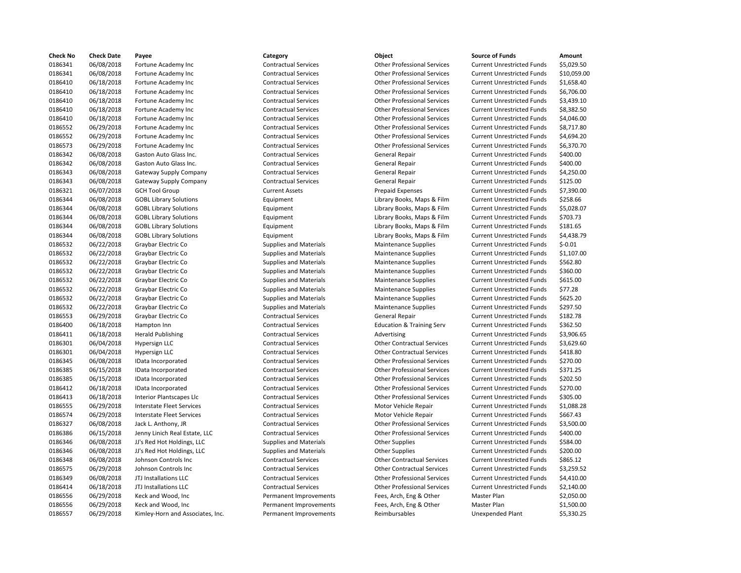| <b>Check No</b> | <b>Check Date</b> | Payee                            | Category                      | Object                               | <b>Source of Funds</b>            | Amount     |
|-----------------|-------------------|----------------------------------|-------------------------------|--------------------------------------|-----------------------------------|------------|
| 0186341         | 06/08/2018        | Fortune Academy Inc              | <b>Contractual Services</b>   | <b>Other Professional Services</b>   | <b>Current Unrestricted Funds</b> | \$5,029.5  |
| 0186341         | 06/08/2018        | Fortune Academy Inc              | <b>Contractual Services</b>   | <b>Other Professional Services</b>   | <b>Current Unrestricted Funds</b> | \$10,059   |
| 0186410         | 06/18/2018        | Fortune Academy Inc              | <b>Contractual Services</b>   | <b>Other Professional Services</b>   | <b>Current Unrestricted Funds</b> | \$1,658.4  |
| 0186410         | 06/18/2018        | Fortune Academy Inc              | <b>Contractual Services</b>   | <b>Other Professional Services</b>   | <b>Current Unrestricted Funds</b> | \$6,706.0  |
| 0186410         | 06/18/2018        | Fortune Academy Inc              | <b>Contractual Services</b>   | <b>Other Professional Services</b>   | <b>Current Unrestricted Funds</b> | \$3,439.1  |
| 0186410         | 06/18/2018        | Fortune Academy Inc              | <b>Contractual Services</b>   | <b>Other Professional Services</b>   | <b>Current Unrestricted Funds</b> | \$8.382.5  |
| 0186410         | 06/18/2018        | Fortune Academy Inc              | <b>Contractual Services</b>   | <b>Other Professional Services</b>   | <b>Current Unrestricted Funds</b> | \$4,046.0  |
| 0186552         | 06/29/2018        | Fortune Academy Inc              | <b>Contractual Services</b>   | <b>Other Professional Services</b>   | <b>Current Unrestricted Funds</b> | \$8,717.8  |
| 0186552         | 06/29/2018        | Fortune Academy Inc              | <b>Contractual Services</b>   | <b>Other Professional Services</b>   | <b>Current Unrestricted Funds</b> | \$4,694.2  |
| 0186573         | 06/29/2018        | Fortune Academy Inc              | <b>Contractual Services</b>   | <b>Other Professional Services</b>   | <b>Current Unrestricted Funds</b> | \$6,370.7  |
| 0186342         | 06/08/2018        | Gaston Auto Glass Inc.           | <b>Contractual Services</b>   | <b>General Repair</b>                | <b>Current Unrestricted Funds</b> | \$400.00   |
| 0186342         | 06/08/2018        | Gaston Auto Glass Inc.           | <b>Contractual Services</b>   | <b>General Repair</b>                | <b>Current Unrestricted Funds</b> | \$400.00   |
| 0186343         | 06/08/2018        | Gateway Supply Company           | <b>Contractual Services</b>   | <b>General Repair</b>                | <b>Current Unrestricted Funds</b> | \$4,250.0  |
| 0186343         | 06/08/2018        | Gateway Supply Company           | <b>Contractual Services</b>   | <b>General Repair</b>                | <b>Current Unrestricted Funds</b> | \$125.00   |
| 0186321         | 06/07/2018        | <b>GCH Tool Group</b>            | <b>Current Assets</b>         | Prepaid Expenses                     | <b>Current Unrestricted Funds</b> | \$7,390.0  |
| 0186344         | 06/08/2018        | <b>GOBL Library Solutions</b>    | Equipment                     | Library Books, Maps & Film           | <b>Current Unrestricted Funds</b> | \$258.66   |
| 0186344         | 06/08/2018        | <b>GOBL Library Solutions</b>    | Equipment                     | Library Books, Maps & Film           | <b>Current Unrestricted Funds</b> | \$5,028.0  |
| 0186344         | 06/08/2018        | <b>GOBL Library Solutions</b>    | Equipment                     | Library Books, Maps & Film           | <b>Current Unrestricted Funds</b> | \$703.73   |
| 0186344         | 06/08/2018        | <b>GOBL Library Solutions</b>    | Equipment                     | Library Books, Maps & Film           | <b>Current Unrestricted Funds</b> | \$181.65   |
| 0186344         | 06/08/2018        | <b>GOBL Library Solutions</b>    | Equipment                     | Library Books, Maps & Film           | <b>Current Unrestricted Funds</b> | \$4,438.7  |
| 0186532         | 06/22/2018        | Graybar Electric Co              | <b>Supplies and Materials</b> | <b>Maintenance Supplies</b>          | <b>Current Unrestricted Funds</b> | $$-0.01$   |
| 0186532         | 06/22/2018        | Graybar Electric Co              | <b>Supplies and Materials</b> | <b>Maintenance Supplies</b>          | <b>Current Unrestricted Funds</b> | $$1,107$ . |
| 0186532         | 06/22/2018        | Graybar Electric Co              | <b>Supplies and Materials</b> | <b>Maintenance Supplies</b>          | <b>Current Unrestricted Funds</b> | \$562.80   |
| 0186532         | 06/22/2018        | Graybar Electric Co              | <b>Supplies and Materials</b> | <b>Maintenance Supplies</b>          | <b>Current Unrestricted Funds</b> | \$360.00   |
| 0186532         | 06/22/2018        | Graybar Electric Co              | Supplies and Materials        | Maintenance Supplies                 | <b>Current Unrestricted Funds</b> | \$615.00   |
| 0186532         | 06/22/2018        | Graybar Electric Co              | <b>Supplies and Materials</b> | <b>Maintenance Supplies</b>          | <b>Current Unrestricted Funds</b> | \$77.28    |
| 0186532         | 06/22/2018        | Graybar Electric Co              | <b>Supplies and Materials</b> | <b>Maintenance Supplies</b>          | <b>Current Unrestricted Funds</b> | \$625.20   |
| 0186532         |                   |                                  |                               |                                      |                                   | \$297.50   |
|                 | 06/22/2018        | Graybar Electric Co              | <b>Supplies and Materials</b> | <b>Maintenance Supplies</b>          | <b>Current Unrestricted Funds</b> |            |
| 0186553         | 06/29/2018        | Graybar Electric Co              | <b>Contractual Services</b>   | <b>General Repair</b>                | <b>Current Unrestricted Funds</b> | \$182.78   |
| 0186400         | 06/18/2018        | Hampton Inn                      | <b>Contractual Services</b>   | <b>Education &amp; Training Serv</b> | <b>Current Unrestricted Funds</b> | \$362.50   |
| 0186411         | 06/18/2018        | <b>Herald Publishing</b>         | <b>Contractual Services</b>   | Advertising                          | <b>Current Unrestricted Funds</b> | \$3,906.6  |
| 0186301         | 06/04/2018        | Hypersign LLC                    | <b>Contractual Services</b>   | <b>Other Contractual Services</b>    | <b>Current Unrestricted Funds</b> | \$3,629.6  |
| 0186301         | 06/04/2018        | Hypersign LLC                    | <b>Contractual Services</b>   | <b>Other Contractual Services</b>    | <b>Current Unrestricted Funds</b> | \$418.80   |
| 0186345         | 06/08/2018        | IData Incorporated               | <b>Contractual Services</b>   | <b>Other Professional Services</b>   | <b>Current Unrestricted Funds</b> | \$270.00   |
| 0186385         | 06/15/2018        | IData Incorporated               | <b>Contractual Services</b>   | <b>Other Professional Services</b>   | <b>Current Unrestricted Funds</b> | \$371.25   |
| 0186385         | 06/15/2018        | IData Incorporated               | <b>Contractual Services</b>   | <b>Other Professional Services</b>   | <b>Current Unrestricted Funds</b> | \$202.50   |
| 0186412         | 06/18/2018        | IData Incorporated               | <b>Contractual Services</b>   | <b>Other Professional Services</b>   | <b>Current Unrestricted Funds</b> | \$270.00   |
| 0186413         | 06/18/2018        | Interior Plantscapes Llc         | <b>Contractual Services</b>   | <b>Other Professional Services</b>   | <b>Current Unrestricted Funds</b> | \$305.00   |
| 0186555         | 06/29/2018        | Interstate Fleet Services        | <b>Contractual Services</b>   | Motor Vehicle Repair                 | <b>Current Unrestricted Funds</b> | \$1,088.2  |
| 0186574         | 06/29/2018        | <b>Interstate Fleet Services</b> | <b>Contractual Services</b>   | Motor Vehicle Repair                 | <b>Current Unrestricted Funds</b> | \$667.43   |
| 0186327         | 06/08/2018        | Jack L. Anthony, JR              | <b>Contractual Services</b>   | <b>Other Professional Services</b>   | <b>Current Unrestricted Funds</b> | \$3,500.0  |
| 0186386         | 06/15/2018        | Jenny Linich Real Estate, LLC    | <b>Contractual Services</b>   | <b>Other Professional Services</b>   | <b>Current Unrestricted Funds</b> | \$400.00   |
| 0186346         | 06/08/2018        | JJ's Red Hot Holdings, LLC       | <b>Supplies and Materials</b> | <b>Other Supplies</b>                | <b>Current Unrestricted Funds</b> | \$584.00   |
| 0186346         | 06/08/2018        | JJ's Red Hot Holdings, LLC       | <b>Supplies and Materials</b> | <b>Other Supplies</b>                | <b>Current Unrestricted Funds</b> | \$200.00   |
| 0186348         | 06/08/2018        | Johnson Controls Inc             | <b>Contractual Services</b>   | <b>Other Contractual Services</b>    | <b>Current Unrestricted Funds</b> | \$865.12   |
| 0186575         | 06/29/2018        | Johnson Controls Inc             | <b>Contractual Services</b>   | <b>Other Contractual Services</b>    | <b>Current Unrestricted Funds</b> | \$3,259.5  |
| 0186349         | 06/08/2018        | JTJ Installations LLC            | <b>Contractual Services</b>   | <b>Other Professional Services</b>   | <b>Current Unrestricted Funds</b> | \$4,410.0  |
| 0186414         | 06/18/2018        | JTJ Installations LLC            | <b>Contractual Services</b>   | <b>Other Professional Services</b>   | <b>Current Unrestricted Funds</b> | \$2,140.0  |
| 0186556         | 06/29/2018        | Keck and Wood, Inc               | Permanent Improvements        | Fees, Arch, Eng & Other              | Master Plan                       | \$2,050.0  |
| 0186556         | 06/29/2018        | Keck and Wood, Inc               | Permanent Improvements        | Fees, Arch, Eng & Other              | Master Plan                       | \$1,500.0  |
| 0100007         | OC/20/2010        | Kimlou Horn and Accoriator Inc.  | Dormanont Improvements        | <b>Doimhurcabloc</b>                 | Unovnoped Blant                   | CP 220     |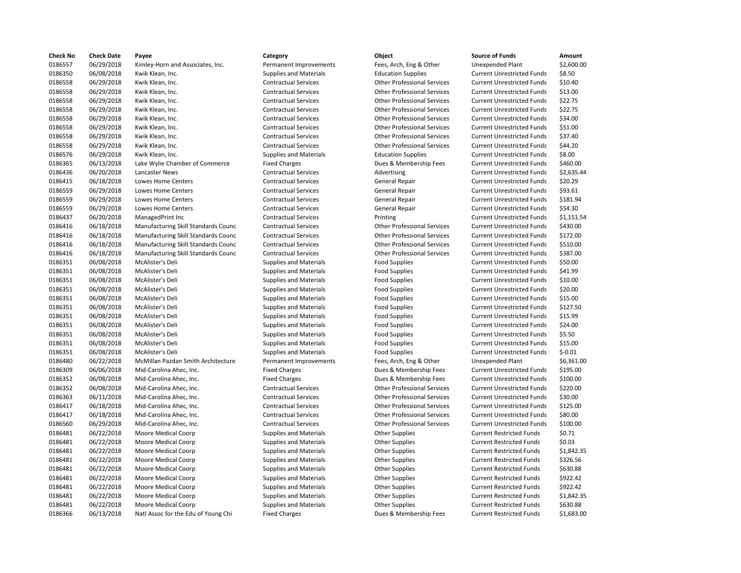| <b>Check No</b>    | <b>Check Date</b>        | Payee                                | Category                      | Object                             | <b>Source of Funds</b>                                                 | Amount                |
|--------------------|--------------------------|--------------------------------------|-------------------------------|------------------------------------|------------------------------------------------------------------------|-----------------------|
| 0186557            | 06/29/2018               | Kimley-Horn and Associates, Inc.     | Permanent Improvements        | Fees, Arch, Eng & Other            | Unexpended Plant                                                       | \$2,600.0             |
| 0186350            | 06/08/2018               | Kwik Klean, Inc.                     | <b>Supplies and Materials</b> | <b>Education Supplies</b>          | <b>Current Unrestricted Funds</b>                                      | \$8.50                |
| 0186558            | 06/29/2018               | Kwik Klean, Inc.                     | <b>Contractual Services</b>   | <b>Other Professional Services</b> | <b>Current Unrestricted Funds</b>                                      | \$10.40               |
| 0186558            | 06/29/2018               | Kwik Klean, Inc.                     | <b>Contractual Services</b>   | <b>Other Professional Services</b> | <b>Current Unrestricted Funds</b>                                      | \$13.00               |
| 0186558            | 06/29/2018               | Kwik Klean, Inc.                     | <b>Contractual Services</b>   | <b>Other Professional Services</b> | <b>Current Unrestricted Funds</b>                                      | \$22.75               |
| 0186558            | 06/29/2018               | Kwik Klean, Inc.                     | <b>Contractual Services</b>   | <b>Other Professional Services</b> | <b>Current Unrestricted Funds</b>                                      | \$22.75               |
| 0186558            | 06/29/2018               | Kwik Klean, Inc.                     | <b>Contractual Services</b>   | <b>Other Professional Services</b> | <b>Current Unrestricted Funds</b>                                      | \$34.00               |
| 0186558            | 06/29/2018               | Kwik Klean, Inc.                     | <b>Contractual Services</b>   | <b>Other Professional Services</b> | <b>Current Unrestricted Funds</b>                                      | \$51.00               |
| 0186558            | 06/29/2018               | Kwik Klean, Inc.                     | <b>Contractual Services</b>   | <b>Other Professional Services</b> | <b>Current Unrestricted Funds</b>                                      | \$37.40               |
| 0186558            | 06/29/2018               | Kwik Klean, Inc.                     | <b>Contractual Services</b>   | <b>Other Professional Services</b> | <b>Current Unrestricted Funds</b>                                      | \$44.20               |
| 0186576            | 06/29/2018               | Kwik Klean, Inc.                     | <b>Supplies and Materials</b> | <b>Education Supplies</b>          | <b>Current Unrestricted Funds</b>                                      | \$8.00                |
| 0186365            | 06/13/2018               | Lake Wylie Chamber of Commerce       | <b>Fixed Charges</b>          | Dues & Membership Fees             | <b>Current Unrestricted Funds</b>                                      | \$460.00              |
| 0186436            | 06/20/2018               | Lancaster News                       | <b>Contractual Services</b>   | Advertising                        | <b>Current Unrestricted Funds</b>                                      | \$2,635.4             |
| 0186415            | 06/18/2018               | Lowes Home Centers                   | <b>Contractual Services</b>   | <b>General Repair</b>              | <b>Current Unrestricted Funds</b>                                      | \$20.29               |
| 0186559            | 06/29/2018               | Lowes Home Centers                   | <b>Contractual Services</b>   | <b>General Repair</b>              | <b>Current Unrestricted Funds</b>                                      | \$93.61               |
| 0186559            | 06/29/2018               | Lowes Home Centers                   | <b>Contractual Services</b>   | <b>General Repair</b>              | <b>Current Unrestricted Funds</b>                                      | \$181.94              |
| 0186559            | 06/29/2018               | Lowes Home Centers                   | <b>Contractual Services</b>   | <b>General Repair</b>              | <b>Current Unrestricted Funds</b>                                      | \$54.30               |
| 0186437            | 06/20/2018               | ManagedPrint Inc                     | <b>Contractual Services</b>   | Printing                           | <b>Current Unrestricted Funds</b>                                      | \$1,151.5             |
| 0186416            | 06/18/2018               | Manufacturing Skill Standards Counc  | <b>Contractual Services</b>   | <b>Other Professional Services</b> | <b>Current Unrestricted Funds</b>                                      | \$430.00              |
| 0186416            | 06/18/2018               | Manufacturing Skill Standards Counc  | <b>Contractual Services</b>   | <b>Other Professional Services</b> | <b>Current Unrestricted Funds</b>                                      | \$172.00              |
| 0186416            | 06/18/2018               | Manufacturing Skill Standards Counc  | <b>Contractual Services</b>   | <b>Other Professional Services</b> | <b>Current Unrestricted Funds</b>                                      | \$510.00              |
| 0186416            | 06/18/2018               | Manufacturing Skill Standards Counc  | <b>Contractual Services</b>   | <b>Other Professional Services</b> | <b>Current Unrestricted Funds</b>                                      | \$387.00              |
| 0186351            | 06/08/2018               | McAlister's Deli                     | <b>Supplies and Materials</b> | <b>Food Supplies</b>               | <b>Current Unrestricted Funds</b>                                      | \$50.00               |
| 0186351            | 06/08/2018               | McAlister's Deli                     | <b>Supplies and Materials</b> | <b>Food Supplies</b>               | <b>Current Unrestricted Funds</b>                                      | \$41.99               |
| 0186351            | 06/08/2018               | McAlister's Deli                     | <b>Supplies and Materials</b> | <b>Food Supplies</b>               | <b>Current Unrestricted Funds</b>                                      | \$10.00               |
| 0186351            | 06/08/2018               | McAlister's Deli                     | <b>Supplies and Materials</b> | <b>Food Supplies</b>               | <b>Current Unrestricted Funds</b>                                      | \$20.00               |
| 0186351            | 06/08/2018               | McAlister's Deli                     | <b>Supplies and Materials</b> | <b>Food Supplies</b>               | <b>Current Unrestricted Funds</b>                                      | \$15.00               |
| 0186351            | 06/08/2018               | McAlister's Deli                     | <b>Supplies and Materials</b> | <b>Food Supplies</b>               | <b>Current Unrestricted Funds</b>                                      | \$127.50              |
| 0186351            | 06/08/2018               | McAlister's Deli                     | <b>Supplies and Materials</b> | <b>Food Supplies</b>               | <b>Current Unrestricted Funds</b>                                      | \$15.99               |
| 0186351            | 06/08/2018               | McAlister's Deli                     | <b>Supplies and Materials</b> | <b>Food Supplies</b>               | <b>Current Unrestricted Funds</b>                                      | \$24.00               |
| 0186351            | 06/08/2018               | McAlister's Deli                     | <b>Supplies and Materials</b> | <b>Food Supplies</b>               | <b>Current Unrestricted Funds</b>                                      | \$5.50                |
|                    |                          |                                      |                               |                                    |                                                                        | \$15.00               |
| 0186351            | 06/08/2018               | McAlister's Deli<br>McAlister's Deli | <b>Supplies and Materials</b> | <b>Food Supplies</b>               | <b>Current Unrestricted Funds</b><br><b>Current Unrestricted Funds</b> | $$-0.01$              |
| 0186351            | 06/08/2018               |                                      | <b>Supplies and Materials</b> | <b>Food Supplies</b>               |                                                                        |                       |
| 0186480<br>0186309 | 06/22/2018<br>06/06/2018 | McMillan Pazdan Smith Architecture   | Permanent Improvements        | Fees, Arch, Eng & Other            | Unexpended Plant                                                       | \$6,361.0<br>\$195.00 |
|                    |                          | Mid-Carolina Ahec, Inc.              | <b>Fixed Charges</b>          | Dues & Membership Fees             | <b>Current Unrestricted Funds</b>                                      |                       |
| 0186352            | 06/08/2018               | Mid-Carolina Ahec, Inc.              | <b>Fixed Charges</b>          | Dues & Membership Fees             | <b>Current Unrestricted Funds</b>                                      | \$100.00              |
| 0186352            | 06/08/2018               | Mid-Carolina Ahec, Inc.              | <b>Contractual Services</b>   | <b>Other Professional Services</b> | <b>Current Unrestricted Funds</b>                                      | \$220.00              |
| 0186363            | 06/11/2018               | Mid-Carolina Ahec, Inc.              | <b>Contractual Services</b>   | <b>Other Professional Services</b> | <b>Current Unrestricted Funds</b>                                      | \$30.00               |
| 0186417            | 06/18/2018               | Mid-Carolina Ahec, Inc.              | <b>Contractual Services</b>   | <b>Other Professional Services</b> | <b>Current Unrestricted Funds</b>                                      | \$125.00              |
| 0186417            | 06/18/2018               | Mid-Carolina Ahec, Inc.              | <b>Contractual Services</b>   | <b>Other Professional Services</b> | <b>Current Unrestricted Funds</b>                                      | \$80.00               |
| 0186560            | 06/29/2018               | Mid-Carolina Ahec, Inc.              | <b>Contractual Services</b>   | <b>Other Professional Services</b> | <b>Current Unrestricted Funds</b>                                      | \$100.00              |
| 0186481            | 06/22/2018               | Moore Medical Coorp                  | <b>Supplies and Materials</b> | <b>Other Supplies</b>              | <b>Current Restricted Funds</b>                                        | \$0.71                |
| 0186481            | 06/22/2018               | Moore Medical Coorp                  | <b>Supplies and Materials</b> | <b>Other Supplies</b>              | <b>Current Restricted Funds</b>                                        | \$0.03                |
| 0186481            | 06/22/2018               | Moore Medical Coorp                  | <b>Supplies and Materials</b> | <b>Other Supplies</b>              | <b>Current Restricted Funds</b>                                        | \$1,842.3             |
| 0186481            | 06/22/2018               | Moore Medical Coorp                  | <b>Supplies and Materials</b> | <b>Other Supplies</b>              | <b>Current Restricted Funds</b>                                        | \$326.56              |
| 0186481            | 06/22/2018               | Moore Medical Coorp                  | <b>Supplies and Materials</b> | <b>Other Supplies</b>              | <b>Current Restricted Funds</b>                                        | \$630.88              |
| 0186481            | 06/22/2018               | Moore Medical Coorp                  | <b>Supplies and Materials</b> | <b>Other Supplies</b>              | <b>Current Restricted Funds</b>                                        | \$922.42              |
| 0186481            | 06/22/2018               | Moore Medical Coorp                  | <b>Supplies and Materials</b> | <b>Other Supplies</b>              | <b>Current Restricted Funds</b>                                        | \$922.42              |
| 0186481            | 06/22/2018               | Moore Medical Coorp                  | <b>Supplies and Materials</b> | <b>Other Supplies</b>              | <b>Current Restricted Funds</b>                                        | \$1,842.3             |
| 0186481            | 06/22/2018               | <b>Moore Medical Coorp</b>           | <b>Supplies and Materials</b> | <b>Other Supplies</b>              | <b>Current Restricted Funds</b>                                        | \$630.88              |
| 0186366            | 06/13/2018               | Natl Assoc for the Edu of Young Chi  | <b>Fixed Charges</b>          | Dues & Membership Fees             | <b>Current Restricted Funds</b>                                        | \$1,683.0             |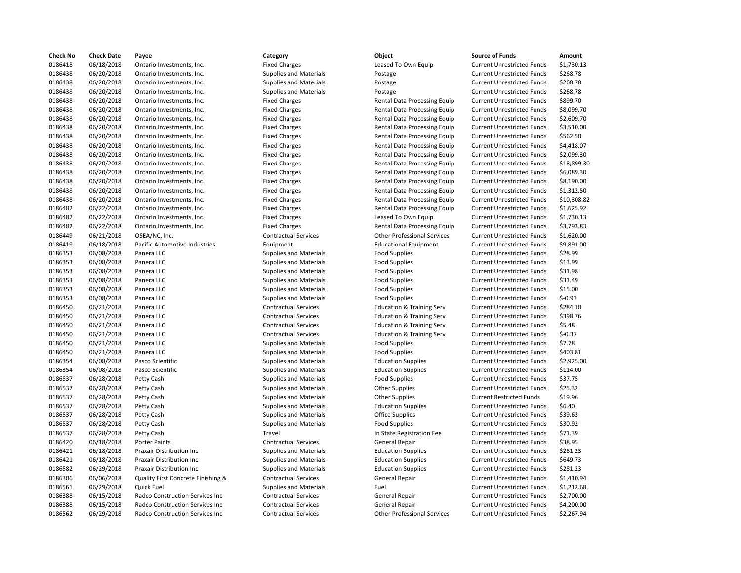| <b>Check No</b> | <b>Check Date</b>        | Payee                              | Category                      | Object                                              | <b>Source of Funds</b>                                                 | Amount    |
|-----------------|--------------------------|------------------------------------|-------------------------------|-----------------------------------------------------|------------------------------------------------------------------------|-----------|
| 0186418         | 06/18/2018               | Ontario Investments, Inc.          | <b>Fixed Charges</b>          | Leased To Own Equip                                 | <b>Current Unrestricted Funds</b>                                      | \$1,730.1 |
| 0186438         | 06/20/2018               | Ontario Investments, Inc.          | <b>Supplies and Materials</b> | Postage                                             | <b>Current Unrestricted Funds</b>                                      | \$268.78  |
| 0186438         | 06/20/2018               | Ontario Investments, Inc.          | <b>Supplies and Materials</b> | Postage                                             | <b>Current Unrestricted Funds</b>                                      | \$268.78  |
| 0186438         | 06/20/2018               | Ontario Investments, Inc.          | <b>Supplies and Materials</b> | Postage                                             | <b>Current Unrestricted Funds</b>                                      | \$268.78  |
| 0186438         | 06/20/2018               | Ontario Investments, Inc.          | <b>Fixed Charges</b>          | Rental Data Processing Equip                        | <b>Current Unrestricted Funds</b>                                      | \$899.70  |
| 0186438         | 06/20/2018               | Ontario Investments, Inc.          | <b>Fixed Charges</b>          | Rental Data Processing Equip                        | <b>Current Unrestricted Funds</b>                                      | \$8,099.7 |
| 0186438         | 06/20/2018               | Ontario Investments, Inc.          | <b>Fixed Charges</b>          | Rental Data Processing Equip                        | <b>Current Unrestricted Funds</b>                                      | \$2,609.7 |
| 0186438         | 06/20/2018               | Ontario Investments, Inc.          | <b>Fixed Charges</b>          | Rental Data Processing Equip                        | <b>Current Unrestricted Funds</b>                                      | \$3,510.0 |
| 0186438         | 06/20/2018               | Ontario Investments, Inc.          | <b>Fixed Charges</b>          | Rental Data Processing Equip                        | <b>Current Unrestricted Funds</b>                                      | \$562.50  |
| 0186438         | 06/20/2018               | Ontario Investments, Inc.          | <b>Fixed Charges</b>          | Rental Data Processing Equip                        | <b>Current Unrestricted Funds</b>                                      | \$4,418.0 |
| 0186438         | 06/20/2018               | Ontario Investments, Inc.          | <b>Fixed Charges</b>          | Rental Data Processing Equip                        | <b>Current Unrestricted Funds</b>                                      | \$2,099.3 |
| 0186438         | 06/20/2018               | Ontario Investments, Inc.          | <b>Fixed Charges</b>          | Rental Data Processing Equip                        | <b>Current Unrestricted Funds</b>                                      | \$18,899  |
| 0186438         | 06/20/2018               | Ontario Investments, Inc.          | <b>Fixed Charges</b>          | Rental Data Processing Equip                        | <b>Current Unrestricted Funds</b>                                      | \$6,089.3 |
| 0186438         | 06/20/2018               | Ontario Investments, Inc.          | <b>Fixed Charges</b>          | Rental Data Processing Equip                        | <b>Current Unrestricted Funds</b>                                      | \$8,190.0 |
| 0186438         | 06/20/2018               | Ontario Investments, Inc.          | <b>Fixed Charges</b>          | Rental Data Processing Equip                        | <b>Current Unrestricted Funds</b>                                      | \$1,312.5 |
| 0186438         | 06/20/2018               | Ontario Investments, Inc.          | <b>Fixed Charges</b>          | Rental Data Processing Equip                        | <b>Current Unrestricted Funds</b>                                      | \$10,308  |
| 0186482         | 06/22/2018               | Ontario Investments, Inc.          | <b>Fixed Charges</b>          | Rental Data Processing Equip                        | <b>Current Unrestricted Funds</b>                                      | \$1,625.9 |
| 0186482         | 06/22/2018               | Ontario Investments, Inc.          | <b>Fixed Charges</b>          | Leased To Own Equip                                 | <b>Current Unrestricted Funds</b>                                      | \$1,730.1 |
| 0186482         | 06/22/2018               | Ontario Investments, Inc.          | <b>Fixed Charges</b>          | Rental Data Processing Equip                        | <b>Current Unrestricted Funds</b>                                      | \$3,793.8 |
| 0186449         | 06/21/2018               | OSEA/NC, Inc.                      | <b>Contractual Services</b>   | <b>Other Professional Services</b>                  | <b>Current Unrestricted Funds</b>                                      | \$1,620.0 |
| 0186419         | 06/18/2018               | Pacific Automotive Industries      | Equipment                     | <b>Educational Equipment</b>                        | <b>Current Unrestricted Funds</b>                                      | \$9,891.0 |
| 0186353         | 06/08/2018               | Panera LLC                         | <b>Supplies and Materials</b> | <b>Food Supplies</b>                                | <b>Current Unrestricted Funds</b>                                      | \$28.99   |
| 0186353         | 06/08/2018               | Panera LLC                         | <b>Supplies and Materials</b> | <b>Food Supplies</b>                                | <b>Current Unrestricted Funds</b>                                      | \$13.99   |
| 0186353         | 06/08/2018               | Panera LLC                         | <b>Supplies and Materials</b> | <b>Food Supplies</b>                                | <b>Current Unrestricted Funds</b>                                      | \$31.98   |
| 0186353         | 06/08/2018               | Panera LLC                         | <b>Supplies and Materials</b> | <b>Food Supplies</b>                                | <b>Current Unrestricted Funds</b>                                      | \$31.49   |
| 0186353         | 06/08/2018               | Panera LLC                         | <b>Supplies and Materials</b> | <b>Food Supplies</b>                                | <b>Current Unrestricted Funds</b>                                      | \$15.00   |
| 0186353         | 06/08/2018               | Panera LLC                         | <b>Supplies and Materials</b> | <b>Food Supplies</b>                                | <b>Current Unrestricted Funds</b>                                      | $$-0.93$  |
| 0186450         | 06/21/2018               | Panera LLC                         | <b>Contractual Services</b>   | <b>Education &amp; Training Serv</b>                | <b>Current Unrestricted Funds</b>                                      | \$284.10  |
| 0186450         | 06/21/2018               | Panera LLC                         | <b>Contractual Services</b>   | <b>Education &amp; Training Serv</b>                | <b>Current Unrestricted Funds</b>                                      | \$398.76  |
| 0186450         | 06/21/2018               | Panera LLC                         | <b>Contractual Services</b>   | <b>Education &amp; Training Serv</b>                | <b>Current Unrestricted Funds</b>                                      | \$5.48    |
| 0186450         | 06/21/2018               | Panera LLC                         | <b>Contractual Services</b>   | <b>Education &amp; Training Serv</b>                | <b>Current Unrestricted Funds</b>                                      | $$-0.37$  |
| 0186450         | 06/21/2018               | Panera LLC                         | <b>Supplies and Materials</b> | <b>Food Supplies</b>                                | <b>Current Unrestricted Funds</b>                                      | \$7.78    |
| 0186450         | 06/21/2018               | Panera LLC                         | <b>Supplies and Materials</b> | <b>Food Supplies</b>                                | <b>Current Unrestricted Funds</b>                                      | \$403.81  |
| 0186354         | 06/08/2018               | Pasco Scientific                   | <b>Supplies and Materials</b> | <b>Education Supplies</b>                           | <b>Current Unrestricted Funds</b>                                      | \$2,925.0 |
| 0186354         | 06/08/2018               | Pasco Scientific                   | <b>Supplies and Materials</b> | <b>Education Supplies</b>                           | <b>Current Unrestricted Funds</b>                                      | \$114.00  |
| 0186537         | 06/28/2018               | Petty Cash                         | <b>Supplies and Materials</b> | <b>Food Supplies</b>                                | <b>Current Unrestricted Funds</b>                                      | \$37.75   |
| 0186537         | 06/28/2018               | Petty Cash                         | <b>Supplies and Materials</b> | <b>Other Supplies</b>                               | <b>Current Unrestricted Funds</b>                                      | \$25.32   |
| 0186537         | 06/28/2018               |                                    |                               |                                                     | <b>Current Restricted Funds</b>                                        | \$19.96   |
| 0186537         |                          | Petty Cash                         | <b>Supplies and Materials</b> | <b>Other Supplies</b>                               |                                                                        | \$6.40    |
| 0186537         | 06/28/2018<br>06/28/2018 | Petty Cash<br>Petty Cash           | <b>Supplies and Materials</b> | <b>Education Supplies</b><br><b>Office Supplies</b> | <b>Current Unrestricted Funds</b><br><b>Current Unrestricted Funds</b> | \$39.63   |
|                 |                          |                                    | <b>Supplies and Materials</b> |                                                     |                                                                        | \$30.92   |
| 0186537         | 06/28/2018               | Petty Cash                         | <b>Supplies and Materials</b> | <b>Food Supplies</b>                                | <b>Current Unrestricted Funds</b>                                      |           |
| 0186537         | 06/28/2018               | Petty Cash                         | Travel                        | In State Registration Fee                           | <b>Current Unrestricted Funds</b>                                      | \$71.39   |
| 0186420         | 06/18/2018               | Porter Paints                      | <b>Contractual Services</b>   | <b>General Repair</b>                               | <b>Current Unrestricted Funds</b>                                      | \$38.95   |
| 0186421         | 06/18/2018               | Praxair Distribution Inc           | <b>Supplies and Materials</b> | <b>Education Supplies</b>                           | <b>Current Unrestricted Funds</b>                                      | \$281.23  |
| 0186421         | 06/18/2018               | Praxair Distribution Inc.          | <b>Supplies and Materials</b> | <b>Education Supplies</b>                           | <b>Current Unrestricted Funds</b>                                      | \$649.73  |
| 0186582         | 06/29/2018               | Praxair Distribution Inc           | <b>Supplies and Materials</b> | <b>Education Supplies</b>                           | <b>Current Unrestricted Funds</b>                                      | \$281.23  |
| 0186306         | 06/06/2018               | Quality First Concrete Finishing & | <b>Contractual Services</b>   | <b>General Repair</b>                               | <b>Current Unrestricted Funds</b>                                      | \$1,410.9 |
| 0186561         | 06/29/2018               | <b>Quick Fuel</b>                  | Supplies and Materials        | Fuel                                                | <b>Current Unrestricted Funds</b>                                      | \$1,212.6 |
| 0186388         | 06/15/2018               | Radco Construction Services Inc    | <b>Contractual Services</b>   | General Repair                                      | <b>Current Unrestricted Funds</b>                                      | \$2,700.0 |
| 0186388         | 06/15/2018               | Radco Construction Services Inc    | <b>Contractual Services</b>   | <b>General Repair</b>                               | <b>Current Unrestricted Funds</b>                                      | \$4,200.0 |
| 0186562         | 06/29/2018               | Radco Construction Services Inc    | <b>Contractual Services</b>   | <b>Other Professional Services</b>                  | <b>Current Unrestricted Funds</b>                                      | \$2,267.9 |

| Category                      | Object                               | <b>Source of Funds</b>            | Amount     |
|-------------------------------|--------------------------------------|-----------------------------------|------------|
| <b>Fixed Charges</b>          | Leased To Own Equip                  | <b>Current Unrestricted Funds</b> | \$1,730.13 |
| <b>Supplies and Materials</b> | Postage                              | <b>Current Unrestricted Funds</b> | \$268.78   |
| <b>Supplies and Materials</b> | Postage                              | <b>Current Unrestricted Funds</b> | \$268.78   |
| <b>Supplies and Materials</b> | Postage                              | <b>Current Unrestricted Funds</b> | \$268.78   |
| <b>Fixed Charges</b>          | Rental Data Processing Equip         | <b>Current Unrestricted Funds</b> | \$899.70   |
| <b>Fixed Charges</b>          | Rental Data Processing Equip         | <b>Current Unrestricted Funds</b> | \$8,099.70 |
| <b>Fixed Charges</b>          | Rental Data Processing Equip         | <b>Current Unrestricted Funds</b> | \$2,609.70 |
| <b>Fixed Charges</b>          | Rental Data Processing Equip         | <b>Current Unrestricted Funds</b> | \$3,510.00 |
| <b>Fixed Charges</b>          | Rental Data Processing Equip         | <b>Current Unrestricted Funds</b> | \$562.50   |
| <b>Fixed Charges</b>          | Rental Data Processing Equip         | <b>Current Unrestricted Funds</b> | \$4,418.07 |
| <b>Fixed Charges</b>          | Rental Data Processing Equip         | <b>Current Unrestricted Funds</b> | \$2,099.30 |
| <b>Fixed Charges</b>          | Rental Data Processing Equip         | <b>Current Unrestricted Funds</b> | \$18,899.3 |
| <b>Fixed Charges</b>          | Rental Data Processing Equip         | <b>Current Unrestricted Funds</b> | \$6,089.30 |
| <b>Fixed Charges</b>          | Rental Data Processing Equip         | <b>Current Unrestricted Funds</b> | \$8,190.00 |
| <b>Fixed Charges</b>          | Rental Data Processing Equip         | <b>Current Unrestricted Funds</b> | \$1,312.50 |
| <b>Fixed Charges</b>          | Rental Data Processing Equip         | <b>Current Unrestricted Funds</b> | \$10,308.8 |
| <b>Fixed Charges</b>          | Rental Data Processing Equip         | <b>Current Unrestricted Funds</b> | \$1,625.92 |
| <b>Fixed Charges</b>          | Leased To Own Equip                  | <b>Current Unrestricted Funds</b> | \$1,730.13 |
| <b>Fixed Charges</b>          | Rental Data Processing Equip         | <b>Current Unrestricted Funds</b> | \$3,793.83 |
| <b>Contractual Services</b>   | <b>Other Professional Services</b>   | <b>Current Unrestricted Funds</b> | \$1,620.00 |
| Equipment                     | <b>Educational Equipment</b>         | <b>Current Unrestricted Funds</b> | \$9,891.00 |
| <b>Supplies and Materials</b> | <b>Food Supplies</b>                 | <b>Current Unrestricted Funds</b> | \$28.99    |
| <b>Supplies and Materials</b> | <b>Food Supplies</b>                 | <b>Current Unrestricted Funds</b> | \$13.99    |
| <b>Supplies and Materials</b> | <b>Food Supplies</b>                 | <b>Current Unrestricted Funds</b> | \$31.98    |
| <b>Supplies and Materials</b> | <b>Food Supplies</b>                 | <b>Current Unrestricted Funds</b> | \$31.49    |
| <b>Supplies and Materials</b> | <b>Food Supplies</b>                 | <b>Current Unrestricted Funds</b> | \$15.00    |
| <b>Supplies and Materials</b> | <b>Food Supplies</b>                 | <b>Current Unrestricted Funds</b> | $$-0.93$   |
| <b>Contractual Services</b>   | <b>Education &amp; Training Serv</b> | <b>Current Unrestricted Funds</b> | \$284.10   |
| <b>Contractual Services</b>   | <b>Education &amp; Training Serv</b> | <b>Current Unrestricted Funds</b> | \$398.76   |
| <b>Contractual Services</b>   | <b>Education &amp; Training Serv</b> | <b>Current Unrestricted Funds</b> | \$5.48     |
| <b>Contractual Services</b>   | <b>Education &amp; Training Serv</b> | <b>Current Unrestricted Funds</b> | $$-0.37$   |
| <b>Supplies and Materials</b> | <b>Food Supplies</b>                 | <b>Current Unrestricted Funds</b> | \$7.78     |
| <b>Supplies and Materials</b> | <b>Food Supplies</b>                 | <b>Current Unrestricted Funds</b> | \$403.81   |
| <b>Supplies and Materials</b> | <b>Education Supplies</b>            | <b>Current Unrestricted Funds</b> | \$2,925.00 |
| <b>Supplies and Materials</b> | <b>Education Supplies</b>            | <b>Current Unrestricted Funds</b> | \$114.00   |
| <b>Supplies and Materials</b> | <b>Food Supplies</b>                 | <b>Current Unrestricted Funds</b> | \$37.75    |
| <b>Supplies and Materials</b> | <b>Other Supplies</b>                | <b>Current Unrestricted Funds</b> | \$25.32    |
| <b>Supplies and Materials</b> | <b>Other Supplies</b>                | <b>Current Restricted Funds</b>   | \$19.96    |
| <b>Supplies and Materials</b> | <b>Education Supplies</b>            | <b>Current Unrestricted Funds</b> | \$6.40     |
| <b>Supplies and Materials</b> | <b>Office Supplies</b>               | <b>Current Unrestricted Funds</b> | \$39.63    |
| <b>Supplies and Materials</b> | <b>Food Supplies</b>                 | <b>Current Unrestricted Funds</b> | \$30.92    |
| Travel                        | In State Registration Fee            | <b>Current Unrestricted Funds</b> | \$71.39    |
| <b>Contractual Services</b>   | <b>General Repair</b>                | <b>Current Unrestricted Funds</b> | \$38.95    |
| <b>Supplies and Materials</b> | <b>Education Supplies</b>            | <b>Current Unrestricted Funds</b> | \$281.23   |
| <b>Supplies and Materials</b> | <b>Education Supplies</b>            | <b>Current Unrestricted Funds</b> | \$649.73   |
| <b>Supplies and Materials</b> | <b>Education Supplies</b>            | <b>Current Unrestricted Funds</b> | \$281.23   |
| <b>Contractual Services</b>   | <b>General Repair</b>                | <b>Current Unrestricted Funds</b> | \$1,410.94 |
| <b>Supplies and Materials</b> | Fuel                                 | <b>Current Unrestricted Funds</b> | \$1,212.68 |
| <b>Contractual Services</b>   | <b>General Repair</b>                | <b>Current Unrestricted Funds</b> | \$2,700.00 |
| <b>Contractual Services</b>   | <b>General Repair</b>                | <b>Current Unrestricted Funds</b> | \$4,200.00 |
| <b>Contractual Services</b>   | <b>Other Professional Services</b>   | <b>Current Unrestricted Funds</b> | \$2,267.94 |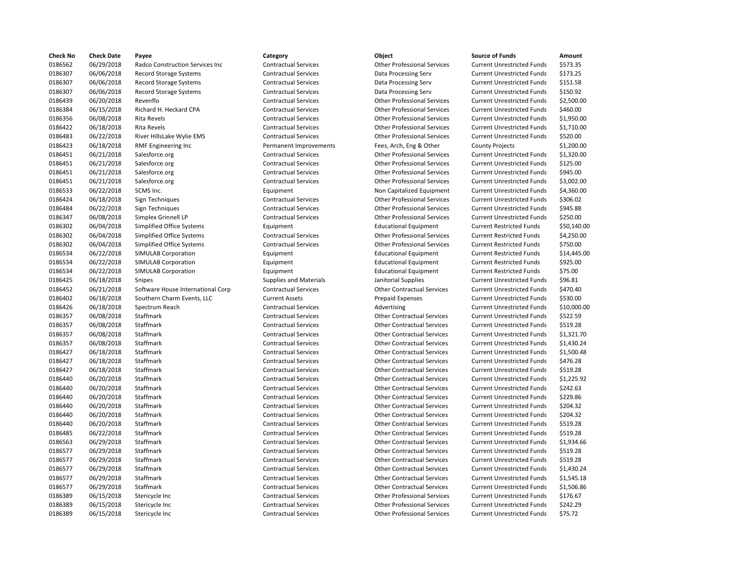| Check No | <b>Check Date</b> | Payee                             | Category                      | Object                             | <b>Source of Funds</b>            | Amount    |
|----------|-------------------|-----------------------------------|-------------------------------|------------------------------------|-----------------------------------|-----------|
| 0186562  | 06/29/2018        | Radco Construction Services Inc   | <b>Contractual Services</b>   | <b>Other Professional Services</b> | <b>Current Unrestricted Funds</b> | \$573.35  |
| 0186307  | 06/06/2018        | <b>Record Storage Systems</b>     | <b>Contractual Services</b>   | Data Processing Serv               | <b>Current Unrestricted Funds</b> | \$173.25  |
| 0186307  | 06/06/2018        | <b>Record Storage Systems</b>     | <b>Contractual Services</b>   | Data Processing Serv               | <b>Current Unrestricted Funds</b> | \$151.58  |
| 0186307  | 06/06/2018        | <b>Record Storage Systems</b>     | <b>Contractual Services</b>   | Data Processing Serv               | <b>Current Unrestricted Funds</b> | \$150.92  |
| 0186439  | 06/20/2018        | Revenflo                          | <b>Contractual Services</b>   | <b>Other Professional Services</b> | <b>Current Unrestricted Funds</b> | \$2,500.0 |
| 0186384  | 06/15/2018        | Richard H. Heckard CPA            | <b>Contractual Services</b>   | <b>Other Professional Services</b> | <b>Current Unrestricted Funds</b> | \$460.00  |
| 0186356  | 06/08/2018        | <b>Rita Revels</b>                | <b>Contractual Services</b>   | <b>Other Professional Services</b> | <b>Current Unrestricted Funds</b> | \$1,950.0 |
| 0186422  | 06/18/2018        | <b>Rita Revels</b>                | <b>Contractual Services</b>   | <b>Other Professional Services</b> | <b>Current Unrestricted Funds</b> | \$1,710.0 |
| 0186483  | 06/22/2018        | River HillsLake Wylie EMS         | <b>Contractual Services</b>   | <b>Other Professional Services</b> | <b>Current Unrestricted Funds</b> | \$520.00  |
| 0186423  | 06/18/2018        | RMF Engineering Inc               | Permanent Improvements        | Fees, Arch, Eng & Other            | <b>County Projects</b>            | \$1,200.0 |
| 0186451  | 06/21/2018        | Salesforce.org                    | <b>Contractual Services</b>   | <b>Other Professional Services</b> | <b>Current Unrestricted Funds</b> | \$1,320.0 |
| 0186451  | 06/21/2018        | Salesforce.org                    | <b>Contractual Services</b>   | <b>Other Professional Services</b> | <b>Current Unrestricted Funds</b> | \$125.00  |
| 0186451  | 06/21/2018        | Salesforce.org                    | <b>Contractual Services</b>   | <b>Other Professional Services</b> | <b>Current Unrestricted Funds</b> | \$945.00  |
| 0186451  | 06/21/2018        | Salesforce.org                    | <b>Contractual Services</b>   | <b>Other Professional Services</b> | <b>Current Unrestricted Funds</b> | \$3,002.0 |
| 0186533  | 06/22/2018        | SCMS Inc.                         | Equipment                     | Non Capitalized Equipment          | <b>Current Unrestricted Funds</b> | \$4,360.0 |
| 0186424  | 06/18/2018        | Sign Techniques                   | <b>Contractual Services</b>   | <b>Other Professional Services</b> | <b>Current Unrestricted Funds</b> | \$306.02  |
| 0186484  | 06/22/2018        | Sign Techniques                   | <b>Contractual Services</b>   | <b>Other Professional Services</b> | <b>Current Unrestricted Funds</b> | \$945.88  |
| 0186347  | 06/08/2018        | Simplex Grinnell LP               | <b>Contractual Services</b>   | <b>Other Professional Services</b> | <b>Current Unrestricted Funds</b> | \$250.00  |
| 0186302  | 06/04/2018        | <b>Simplified Office Systems</b>  | Equipment                     | <b>Educational Equipment</b>       | <b>Current Restricted Funds</b>   | \$50,140  |
| 0186302  | 06/04/2018        | <b>Simplified Office Systems</b>  | <b>Contractual Services</b>   | <b>Other Professional Services</b> | <b>Current Restricted Funds</b>   | \$4,250.0 |
| 0186302  | 06/04/2018        | <b>Simplified Office Systems</b>  | <b>Contractual Services</b>   | <b>Other Professional Services</b> | <b>Current Restricted Funds</b>   | \$750.00  |
| 0186534  | 06/22/2018        | SIMULAB Corporation               | Equipment                     | <b>Educational Equipment</b>       | <b>Current Restricted Funds</b>   | \$14,445  |
| 0186534  | 06/22/2018        | <b>SIMULAB Corporation</b>        | Equipment                     | <b>Educational Equipment</b>       | <b>Current Restricted Funds</b>   | \$925.00  |
| 0186534  | 06/22/2018        | SIMULAB Corporation               | Equipment                     | <b>Educational Equipment</b>       | <b>Current Restricted Funds</b>   | \$75.00   |
| 0186425  | 06/18/2018        | <b>Snipes</b>                     | <b>Supplies and Materials</b> | Janitorial Supplies                | <b>Current Unrestricted Funds</b> | \$96.81   |
| 0186452  | 06/21/2018        | Software House International Corp | <b>Contractual Services</b>   | <b>Other Contractual Services</b>  | <b>Current Unrestricted Funds</b> | \$470.40  |
| 0186402  | 06/18/2018        | Southern Charm Events, LLC        | <b>Current Assets</b>         | <b>Prepaid Expenses</b>            | <b>Current Unrestricted Funds</b> | \$530.00  |
| 0186426  | 06/18/2018        | Spectrum Reach                    | <b>Contractual Services</b>   | Advertising                        | <b>Current Unrestricted Funds</b> | \$10,000  |
| 0186357  | 06/08/2018        | Staffmark                         | <b>Contractual Services</b>   | <b>Other Contractual Services</b>  | <b>Current Unrestricted Funds</b> | \$522.59  |
| 0186357  | 06/08/2018        | Staffmark                         | <b>Contractual Services</b>   | <b>Other Contractual Services</b>  | <b>Current Unrestricted Funds</b> | \$519.28  |
| 0186357  | 06/08/2018        | Staffmark                         | <b>Contractual Services</b>   | <b>Other Contractual Services</b>  | <b>Current Unrestricted Funds</b> | \$1,321.7 |
| 0186357  | 06/08/2018        | Staffmark                         | <b>Contractual Services</b>   | <b>Other Contractual Services</b>  | <b>Current Unrestricted Funds</b> | \$1,430.2 |
| 0186427  | 06/18/2018        | Staffmark                         | <b>Contractual Services</b>   | <b>Other Contractual Services</b>  | <b>Current Unrestricted Funds</b> | \$1,500.4 |
| 0186427  | 06/18/2018        | Staffmark                         | <b>Contractual Services</b>   | <b>Other Contractual Services</b>  | <b>Current Unrestricted Funds</b> | \$476.28  |
| 0186427  | 06/18/2018        | Staffmark                         | <b>Contractual Services</b>   | <b>Other Contractual Services</b>  | <b>Current Unrestricted Funds</b> | \$519.28  |
| 0186440  | 06/20/2018        | Staffmark                         | <b>Contractual Services</b>   | <b>Other Contractual Services</b>  | <b>Current Unrestricted Funds</b> | \$1,225.9 |
| 0186440  | 06/20/2018        | Staffmark                         | <b>Contractual Services</b>   | <b>Other Contractual Services</b>  | <b>Current Unrestricted Funds</b> | \$242.63  |
| 0186440  | 06/20/2018        | Staffmark                         | <b>Contractual Services</b>   | <b>Other Contractual Services</b>  | <b>Current Unrestricted Funds</b> | \$229.86  |
| 0186440  | 06/20/2018        | Staffmark                         | <b>Contractual Services</b>   | <b>Other Contractual Services</b>  | <b>Current Unrestricted Funds</b> | \$204.32  |
| 0186440  | 06/20/2018        | Staffmark                         | <b>Contractual Services</b>   | <b>Other Contractual Services</b>  | <b>Current Unrestricted Funds</b> | \$204.32  |
| 0186440  | 06/20/2018        | <b>Staffmark</b>                  | <b>Contractual Services</b>   | <b>Other Contractual Services</b>  | <b>Current Unrestricted Funds</b> | \$519.28  |
| 0186485  | 06/22/2018        | Staffmark                         | <b>Contractual Services</b>   | <b>Other Contractual Services</b>  | <b>Current Unrestricted Funds</b> | \$519.28  |
| 0186563  | 06/29/2018        | Staffmark                         | <b>Contractual Services</b>   | <b>Other Contractual Services</b>  | <b>Current Unrestricted Funds</b> | \$1,934.6 |
| 0186577  | 06/29/2018        | Staffmark                         | <b>Contractual Services</b>   | <b>Other Contractual Services</b>  | <b>Current Unrestricted Funds</b> | \$519.28  |
| 0186577  | 06/29/2018        | Staffmark                         | <b>Contractual Services</b>   | <b>Other Contractual Services</b>  | <b>Current Unrestricted Funds</b> | \$519.28  |
| 0186577  | 06/29/2018        | Staffmark                         | <b>Contractual Services</b>   | <b>Other Contractual Services</b>  | <b>Current Unrestricted Funds</b> | \$1,430.2 |
| 0186577  | 06/29/2018        | Staffmark                         | <b>Contractual Services</b>   | <b>Other Contractual Services</b>  | <b>Current Unrestricted Funds</b> | \$1,545.1 |
| 0186577  | 06/29/2018        | Staffmark                         | <b>Contractual Services</b>   | <b>Other Contractual Services</b>  | <b>Current Unrestricted Funds</b> | \$1,506.8 |
| 0186389  | 06/15/2018        | Stericycle Inc                    | <b>Contractual Services</b>   | <b>Other Professional Services</b> | <b>Current Unrestricted Funds</b> | \$176.67  |
| 0186389  | 06/15/2018        | Stericycle Inc                    | <b>Contractual Services</b>   | <b>Other Professional Services</b> | <b>Current Unrestricted Funds</b> | \$242.29  |
| 0186389  | 06/15/2018        | Stericycle Inc                    | <b>Contractual Services</b>   | <b>Other Professional Services</b> | <b>Current Unrestricted Funds</b> | \$75.72   |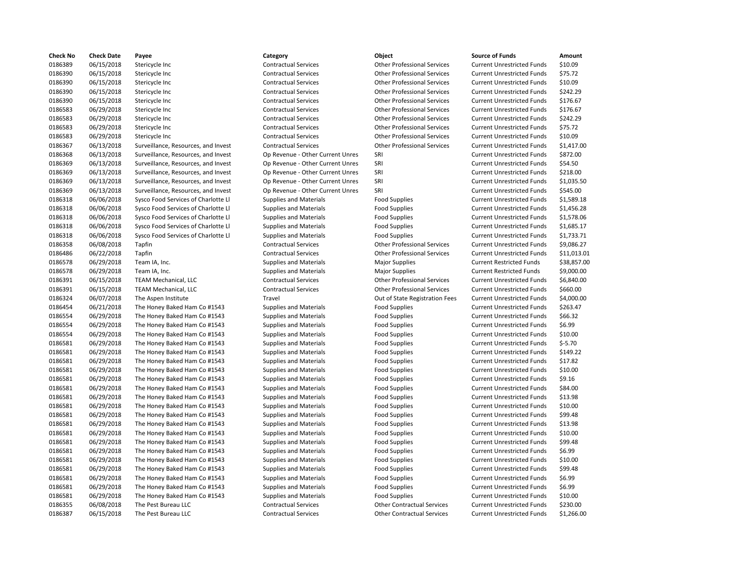| <b>Check No</b>    | <b>Check Date</b>        | Payee                               | Category                         | Object                             | <b>Source of Funds</b>            | Amount            |
|--------------------|--------------------------|-------------------------------------|----------------------------------|------------------------------------|-----------------------------------|-------------------|
| 0186389            | 06/15/2018               | Stericycle Inc                      | <b>Contractual Services</b>      | <b>Other Professional Services</b> | <b>Current Unrestricted Funds</b> | \$10.09           |
| 0186390            | 06/15/2018               | Stericycle Inc                      | <b>Contractual Services</b>      | <b>Other Professional Services</b> | <b>Current Unrestricted Funds</b> | \$75.72           |
| 0186390            | 06/15/2018               | Stericycle Inc                      | <b>Contractual Services</b>      | <b>Other Professional Services</b> | <b>Current Unrestricted Funds</b> | \$10.09           |
| 0186390            | 06/15/2018               | Stericycle Inc                      | <b>Contractual Services</b>      | <b>Other Professional Services</b> | <b>Current Unrestricted Funds</b> | \$242.29          |
| 0186390            | 06/15/2018               | Stericycle Inc                      | <b>Contractual Services</b>      | <b>Other Professional Services</b> | <b>Current Unrestricted Funds</b> | \$176.67          |
| 0186583            | 06/29/2018               | Stericycle Inc                      | <b>Contractual Services</b>      | <b>Other Professional Services</b> | <b>Current Unrestricted Funds</b> | \$176.67          |
| 0186583            | 06/29/2018               | Stericycle Inc                      | <b>Contractual Services</b>      | <b>Other Professional Services</b> | <b>Current Unrestricted Funds</b> | \$242.29          |
| 0186583            | 06/29/2018               | Stericycle Inc                      | <b>Contractual Services</b>      | <b>Other Professional Services</b> | <b>Current Unrestricted Funds</b> | \$75.72           |
| 0186583            | 06/29/2018               | Stericycle Inc                      | <b>Contractual Services</b>      | <b>Other Professional Services</b> | <b>Current Unrestricted Funds</b> | \$10.09           |
| 0186367            | 06/13/2018               | Surveillance, Resources, and Invest | <b>Contractual Services</b>      | <b>Other Professional Services</b> | <b>Current Unrestricted Funds</b> | \$1,417.00        |
| 0186368            | 06/13/2018               | Surveillance, Resources, and Invest | Op Revenue - Other Current Unres | SRI                                | <b>Current Unrestricted Funds</b> | \$872.00          |
| 0186369            | 06/13/2018               | Surveillance, Resources, and Invest | Op Revenue - Other Current Unres | SRI                                | <b>Current Unrestricted Funds</b> | \$54.50           |
| 0186369            | 06/13/2018               | Surveillance, Resources, and Invest | Op Revenue - Other Current Unres | SRI                                | <b>Current Unrestricted Funds</b> | \$218.00          |
| 0186369            | 06/13/2018               | Surveillance, Resources, and Invest | Op Revenue - Other Current Unres | SRI                                | <b>Current Unrestricted Funds</b> | \$1,035.50        |
| 0186369            | 06/13/2018               | Surveillance, Resources, and Invest | Op Revenue - Other Current Unres | SRI                                | <b>Current Unrestricted Funds</b> | \$545.00          |
| 0186318            | 06/06/2018               | Sysco Food Services of Charlotte Ll | <b>Supplies and Materials</b>    | <b>Food Supplies</b>               | <b>Current Unrestricted Funds</b> | \$1,589.18        |
| 0186318            | 06/06/2018               | Sysco Food Services of Charlotte Ll | <b>Supplies and Materials</b>    | <b>Food Supplies</b>               | <b>Current Unrestricted Funds</b> | \$1,456.28        |
| 0186318            | 06/06/2018               | Sysco Food Services of Charlotte Ll | <b>Supplies and Materials</b>    | <b>Food Supplies</b>               | <b>Current Unrestricted Funds</b> | \$1,578.06        |
| 0186318            | 06/06/2018               | Sysco Food Services of Charlotte Ll | <b>Supplies and Materials</b>    | <b>Food Supplies</b>               | <b>Current Unrestricted Funds</b> | \$1,685.17        |
| 0186318            | 06/06/2018               | Sysco Food Services of Charlotte Ll | <b>Supplies and Materials</b>    | <b>Food Supplies</b>               | <b>Current Unrestricted Funds</b> | \$1,733.71        |
| 0186358            | 06/08/2018               | Tapfin                              | <b>Contractual Services</b>      | <b>Other Professional Services</b> | <b>Current Unrestricted Funds</b> | \$9,086.27        |
| 0186486            | 06/22/2018               | Tapfin                              | <b>Contractual Services</b>      | <b>Other Professional Services</b> | <b>Current Unrestricted Funds</b> | \$11,013.0        |
| 0186578            | 06/29/2018               | Team IA, Inc.                       | <b>Supplies and Materials</b>    | <b>Major Supplies</b>              | <b>Current Restricted Funds</b>   | \$38,857.0        |
| 0186578            | 06/29/2018               | Team IA, Inc.                       | <b>Supplies and Materials</b>    | <b>Major Supplies</b>              | <b>Current Restricted Funds</b>   | \$9,000.00        |
| 0186391            | 06/15/2018               | TEAM Mechanical, LLC                | <b>Contractual Services</b>      | <b>Other Professional Services</b> | <b>Current Unrestricted Funds</b> | \$6,840.00        |
| 0186391            | 06/15/2018               | <b>TEAM Mechanical, LLC</b>         | <b>Contractual Services</b>      | <b>Other Professional Services</b> | <b>Current Unrestricted Funds</b> | \$660.00          |
| 0186324            | 06/07/2018               | The Aspen Institute                 | Travel                           | Out of State Registration Fees     | <b>Current Unrestricted Funds</b> | \$4,000.00        |
|                    |                          |                                     |                                  |                                    | <b>Current Unrestricted Funds</b> | \$263.47          |
| 0186454            | 06/21/2018               | The Honey Baked Ham Co #1543        | <b>Supplies and Materials</b>    | <b>Food Supplies</b>               |                                   |                   |
| 0186554<br>0186554 | 06/29/2018<br>06/29/2018 | The Honey Baked Ham Co #1543        | <b>Supplies and Materials</b>    | <b>Food Supplies</b>               | <b>Current Unrestricted Funds</b> | \$66.32<br>\$6.99 |
|                    |                          | The Honey Baked Ham Co #1543        | <b>Supplies and Materials</b>    | <b>Food Supplies</b>               | <b>Current Unrestricted Funds</b> |                   |
| 0186554            | 06/29/2018               | The Honey Baked Ham Co #1543        | <b>Supplies and Materials</b>    | <b>Food Supplies</b>               | <b>Current Unrestricted Funds</b> | \$10.00           |
| 0186581            | 06/29/2018               | The Honey Baked Ham Co #1543        | <b>Supplies and Materials</b>    | <b>Food Supplies</b>               | <b>Current Unrestricted Funds</b> | $$-5.70$          |
| 0186581            | 06/29/2018               | The Honey Baked Ham Co #1543        | <b>Supplies and Materials</b>    | <b>Food Supplies</b>               | <b>Current Unrestricted Funds</b> | \$149.22          |
| 0186581            | 06/29/2018               | The Honey Baked Ham Co #1543        | <b>Supplies and Materials</b>    | <b>Food Supplies</b>               | <b>Current Unrestricted Funds</b> | \$17.82           |
| 0186581            | 06/29/2018               | The Honey Baked Ham Co #1543        | <b>Supplies and Materials</b>    | <b>Food Supplies</b>               | <b>Current Unrestricted Funds</b> | \$10.00           |
| 0186581            | 06/29/2018               | The Honey Baked Ham Co #1543        | <b>Supplies and Materials</b>    | <b>Food Supplies</b>               | <b>Current Unrestricted Funds</b> | \$9.16            |
| 0186581            | 06/29/2018               | The Honey Baked Ham Co #1543        | <b>Supplies and Materials</b>    | <b>Food Supplies</b>               | <b>Current Unrestricted Funds</b> | \$84.00           |
| 0186581            | 06/29/2018               | The Honey Baked Ham Co #1543        | <b>Supplies and Materials</b>    | <b>Food Supplies</b>               | <b>Current Unrestricted Funds</b> | \$13.98           |
| 0186581            | 06/29/2018               | The Honey Baked Ham Co #1543        | <b>Supplies and Materials</b>    | <b>Food Supplies</b>               | <b>Current Unrestricted Funds</b> | \$10.00           |
| 0186581            | 06/29/2018               | The Honey Baked Ham Co #1543        | <b>Supplies and Materials</b>    | <b>Food Supplies</b>               | <b>Current Unrestricted Funds</b> | \$99.48           |
| 0186581            | 06/29/2018               | The Honey Baked Ham Co #1543        | <b>Supplies and Materials</b>    | <b>Food Supplies</b>               | <b>Current Unrestricted Funds</b> | \$13.98           |
| 0186581            | 06/29/2018               | The Honey Baked Ham Co #1543        | <b>Supplies and Materials</b>    | <b>Food Supplies</b>               | <b>Current Unrestricted Funds</b> | \$10.00           |
| 0186581            | 06/29/2018               | The Honey Baked Ham Co #1543        | <b>Supplies and Materials</b>    | <b>Food Supplies</b>               | <b>Current Unrestricted Funds</b> | \$99.48           |
| 0186581            | 06/29/2018               | The Honey Baked Ham Co #1543        | <b>Supplies and Materials</b>    | <b>Food Supplies</b>               | <b>Current Unrestricted Funds</b> | \$6.99            |
| 0186581            | 06/29/2018               | The Honey Baked Ham Co #1543        | <b>Supplies and Materials</b>    | <b>Food Supplies</b>               | <b>Current Unrestricted Funds</b> | \$10.00           |
| 0186581            | 06/29/2018               | The Honey Baked Ham Co #1543        | <b>Supplies and Materials</b>    | <b>Food Supplies</b>               | <b>Current Unrestricted Funds</b> | \$99.48           |
| 0186581            | 06/29/2018               | The Honey Baked Ham Co #1543        | <b>Supplies and Materials</b>    | <b>Food Supplies</b>               | <b>Current Unrestricted Funds</b> | \$6.99            |
| 0186581            | 06/29/2018               | The Honey Baked Ham Co #1543        | <b>Supplies and Materials</b>    | <b>Food Supplies</b>               | <b>Current Unrestricted Funds</b> | \$6.99            |
| 0186581            | 06/29/2018               | The Honey Baked Ham Co #1543        | <b>Supplies and Materials</b>    | <b>Food Supplies</b>               | <b>Current Unrestricted Funds</b> | \$10.00           |
| 0186355            | 06/08/2018               | The Pest Bureau LLC                 | <b>Contractual Services</b>      | <b>Other Contractual Services</b>  | <b>Current Unrestricted Funds</b> | \$230.00          |
| 0186387            | 06/15/2018               | The Pest Bureau LLC                 | <b>Contractual Services</b>      | <b>Other Contractual Services</b>  | <b>Current Unrestricted Funds</b> | \$1,266.00        |

# 0186389 06/15/2018 Stericycle Inc Contractual Services Other Professional Services Current Unrestricted Funds \$10.09 0186390 06/15/2018 Stericycle Inc Contractual Services Other Professional Services Current Unrestricted Funds \$75.72 0186390 06/15/2018 Stericycle Inc Contractual Services Other Professional Services Current Unrestricted Funds \$10.09 Contractual Services **Stephends** Other Professional Services Current Unrestricted Funds \$242.29 Contractual Services **Current Interior Contractual Services** Current Unrestricted Funds \$176.67 Contractual Services **176.67** Other Professional Services Current Unrestricted Funds \$176.67 Contractual Services **Stephends** Other Professional Services Current Unrestricted Funds \$242.29 Contractual Services **1865** Other Professional Services Current Unrestricted Funds \$75.72 0186583 06/29/2018 Stericycle Inc Contractual Services Other Professional Services Current Unrestricted Funds \$10.09 Contractual Services **Current Contractual Services** Other Professional Services Current Unrestricted Funds \$1,417.00 Op Revenue - Other Current Unres SRI SRI Current Unrestricted Funds \$872.00 Op Revenue - Other Current Unres SRI Surveille Current Unrestricted Funds \$54.50 Op Revenue - Other Current Unres SRI Current Unrestricted Funds \$218.00 Op Revenue - Other Current Unres SRI Surveille Current Unrestricted Funds \$1,035.50 Op Revenue - Other Current Unres SRI Current Unrestricted Funds \$545.00 0186318 06/06/2018 Sysco Food Services of Charlotte Ll Supplies and Materials Food Supplies Current Unrestricted Funds \$1,589.18 0186318 06/06/2018 Sysco Food Services of Charlotte Ll Supplies and Materials Food Supplies Current Unrestricted Funds \$1,456.28 0186318 06/06/2018 Sysco Food Services of Charlotte Ll Supplies and Materials Food Supplies Current Unrestricted Funds \$1,578.06 0186318 06/06/2018 Sysco Food Services of Charlotte Ll Supplies and Materials Food Supplies Current Unrestricted Funds \$1,685.17 0186318 06/06/2018 Sysco Food Services of Charlotte Ll Supplies and Materials Food Supplies Current Unrestricted Funds \$1,733.71 0186358 06/08/2018 Tapfin Contractual Services Other Professional Services Current Unrestricted Funds \$9,086.27 0186486 06/22/2018 Tapfin Contractual Services Other Professional Services Current Unrestricted Funds \$11,013.01 0186578 06/29/2018 Team IA, Inc. Supplies and Materials Major Supplies Current Restricted Funds \$38,857.00 0186578 06/29/2018 Team IA, Inc. Supplies and Materials Major Supplies Current Restricted Funds \$9,000.00 0186391 06/15/2018 TEAM Mechanical, LLC Contractual Services Other Professional Services Current Unrestricted Funds \$6,840.00 0186391 06/15/2018 TEAM Mechanical, LLC Contractual Services Other Professional Services Current Unrestricted Funds \$660.00 Travel **1286** Out of State Registration Fees Current Unrestricted Funds \$4,000.00 Supplies and Materials **Food Supplies 14the Ham Concerne** Current Unrestricted Funds 5263.47 0186554 06/29/2018 The Honey Baked Ham Co #1543 Supplies and Materials Food Supplies Current Unrestricted Funds \$66.32 Supplies and Materials **The Honey Baked Ham Confluent Ham Constructed Funds** 56.99 0186554 06/29/2018 The Honey Baked Ham Co #1543 Supplies and Materials Food Supplies Current Unrestricted Funds \$10.00 Supplies and Materials **The Honey Baked Ham Confluent Ham Constructed Funds** 5-5.70 0186581 06/29/2018 The Honey Baked Ham Co #1543 Supplies and Materials Food Supplies Current Unrestricted Funds \$149.22 0186581 06/29/2018 The Honey Baked Ham Co #1543 Supplies and Materials Food Supplies Current Unrestricted Funds \$17.82 0186581 06/29/2018 The Honey Baked Ham Co #1543 Supplies and Materials Food Supplies Current Unrestricted Funds \$10.00 Supplies and Materials The Honey Baked Ham Corrent Unrestricted Funds \$9.16 0186581 06/29/2018 The Honey Baked Ham Co #1543 Supplies and Materials Food Supplies Current Unrestricted Funds \$84.00 0186581 06/29/2018 The Honey Baked Ham Co #1543 Supplies and Materials Food Supplies Current Unrestricted Funds \$13.98 Supplies and Materials The Honey Honey Honey Baked Ham Current Unrestricted Funds \$10.00 Supplies and Materials **Food Supplies 1543** Current Unrestricted Funds \$99.48 0186581 06/29/2018 The Honey Baked Ham Co #1543 Supplies and Materials Food Supplies Current Unrestricted Funds \$13.98 Supplies and Materials The Honey Baked Ham Current Unrestricted Funds 510.00 0186581 06/29/2018 The Honey Baked Ham Co #1543 Supplies and Materials Food Supplies Current Unrestricted Funds \$99.48 Supplies and Materials The Honey Baked Ham Corrent Unrestricted Funds 56.99 Supplies and Materials **Food Supplies 14.33 Supplies** Current Unrestricted Funds \$10.00 0186581 06/29/2018 The Honey Baked Ham Co #1543 Supplies and Materials Food Supplies Current Unrestricted Funds \$99.48 Supplies and Materials The Honey Baked Ham Corrent Unrestricted Funds 56.99 Ourrent Unrestricted Funds 56.99 Supplies ED 2018 Current Unrestricted Funds 56.99 Supplies and Materials **Food Supplies 16.433 Supplies Current Unrestricted Funds** \$10.00 Contractual Services **1878 Contractual Services** Current Unrestricted Funds \$230.00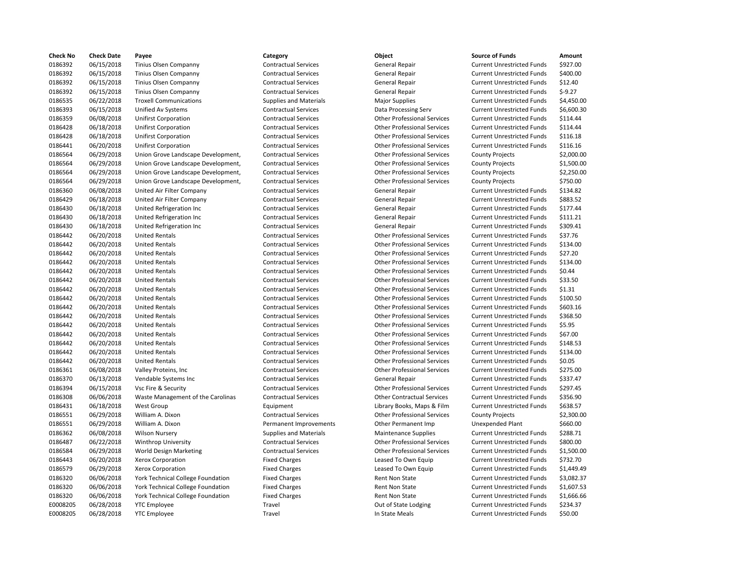| <b>Check No</b> | <b>Check Date</b> | Payee                                                                  | Category                                     | Object                             | <b>Source of Funds</b>            | Amount    |
|-----------------|-------------------|------------------------------------------------------------------------|----------------------------------------------|------------------------------------|-----------------------------------|-----------|
| 0186392         | 06/15/2018        | Tinius Olsen Companny                                                  | <b>Contractual Services</b>                  | <b>General Repair</b>              | <b>Current Unrestricted Funds</b> | \$927.00  |
| 0186392         | 06/15/2018        | Tinius Olsen Companny                                                  | <b>Contractual Services</b>                  | <b>General Repair</b>              | <b>Current Unrestricted Funds</b> | \$400.00  |
| 0186392         | 06/15/2018        | Tinius Olsen Companny                                                  | <b>Contractual Services</b>                  | <b>General Repair</b>              | <b>Current Unrestricted Funds</b> | \$12.40   |
| 0186392         | 06/15/2018        | Tinius Olsen Companny                                                  | <b>Contractual Services</b>                  | <b>General Repair</b>              | <b>Current Unrestricted Funds</b> | $$-9.27$  |
| 0186535         | 06/22/2018        | <b>Troxell Communications</b>                                          | <b>Supplies and Materials</b>                | <b>Major Supplies</b>              | <b>Current Unrestricted Funds</b> | \$4,450.0 |
| 0186393         | 06/15/2018        | Unified Av Systems                                                     | <b>Contractual Services</b>                  | Data Processing Serv               | <b>Current Unrestricted Funds</b> | \$6,600.3 |
| 0186359         | 06/08/2018        | <b>Unifirst Corporation</b>                                            | <b>Contractual Services</b>                  | <b>Other Professional Services</b> | <b>Current Unrestricted Funds</b> | \$114.44  |
| 0186428         | 06/18/2018        | <b>Unifirst Corporation</b>                                            | <b>Contractual Services</b>                  | <b>Other Professional Services</b> | <b>Current Unrestricted Funds</b> | \$114.44  |
| 0186428         | 06/18/2018        | <b>Unifirst Corporation</b>                                            | <b>Contractual Services</b>                  | <b>Other Professional Services</b> | <b>Current Unrestricted Funds</b> | \$116.18  |
| 0186441         | 06/20/2018        | <b>Unifirst Corporation</b>                                            | <b>Contractual Services</b>                  | <b>Other Professional Services</b> | <b>Current Unrestricted Funds</b> | \$116.16  |
| 0186564         | 06/29/2018        | Union Grove Landscape Development,                                     | <b>Contractual Services</b>                  | <b>Other Professional Services</b> | <b>County Projects</b>            | \$2,000.0 |
| 0186564         | 06/29/2018        | Union Grove Landscape Development,                                     | <b>Contractual Services</b>                  | <b>Other Professional Services</b> | <b>County Projects</b>            | \$1,500.0 |
| 0186564         | 06/29/2018        | Union Grove Landscape Development,                                     | <b>Contractual Services</b>                  | <b>Other Professional Services</b> | <b>County Projects</b>            | \$2,250.0 |
| 0186564         | 06/29/2018        | Union Grove Landscape Development,                                     | <b>Contractual Services</b>                  | <b>Other Professional Services</b> | <b>County Projects</b>            | \$750.00  |
| 0186360         | 06/08/2018        | United Air Filter Company                                              | <b>Contractual Services</b>                  | <b>General Repair</b>              | <b>Current Unrestricted Funds</b> | \$134.82  |
| 0186429         | 06/18/2018        | United Air Filter Company                                              | <b>Contractual Services</b>                  | <b>General Repair</b>              | <b>Current Unrestricted Funds</b> | \$883.52  |
| 0186430         | 06/18/2018        | United Refrigeration Inc                                               | <b>Contractual Services</b>                  | <b>General Repair</b>              | <b>Current Unrestricted Funds</b> | \$177.44  |
| 0186430         | 06/18/2018        | United Refrigeration Inc                                               | <b>Contractual Services</b>                  | <b>General Repair</b>              | <b>Current Unrestricted Funds</b> | \$111.21  |
| 0186430         | 06/18/2018        | United Refrigeration Inc                                               | <b>Contractual Services</b>                  | <b>General Repair</b>              | <b>Current Unrestricted Funds</b> | \$309.41  |
| 0186442         | 06/20/2018        | <b>United Rentals</b>                                                  | <b>Contractual Services</b>                  | <b>Other Professional Services</b> | <b>Current Unrestricted Funds</b> | \$37.76   |
| 0186442         | 06/20/2018        | <b>United Rentals</b>                                                  | <b>Contractual Services</b>                  | <b>Other Professional Services</b> | <b>Current Unrestricted Funds</b> | \$134.00  |
| 0186442         | 06/20/2018        | <b>United Rentals</b>                                                  | <b>Contractual Services</b>                  | <b>Other Professional Services</b> | <b>Current Unrestricted Funds</b> | \$27.20   |
| 0186442         | 06/20/2018        | <b>United Rentals</b>                                                  | <b>Contractual Services</b>                  | <b>Other Professional Services</b> | <b>Current Unrestricted Funds</b> | \$134.00  |
| 0186442         | 06/20/2018        | <b>United Rentals</b>                                                  | <b>Contractual Services</b>                  | <b>Other Professional Services</b> | <b>Current Unrestricted Funds</b> | \$0.44    |
| 0186442         | 06/20/2018        | <b>United Rentals</b>                                                  | <b>Contractual Services</b>                  | <b>Other Professional Services</b> | <b>Current Unrestricted Funds</b> | \$33.50   |
| 0186442         | 06/20/2018        | <b>United Rentals</b>                                                  | <b>Contractual Services</b>                  | <b>Other Professional Services</b> | <b>Current Unrestricted Funds</b> | \$1.31    |
| 0186442         | 06/20/2018        | <b>United Rentals</b>                                                  | <b>Contractual Services</b>                  | <b>Other Professional Services</b> | <b>Current Unrestricted Funds</b> | \$100.50  |
| 0186442         | 06/20/2018        | <b>United Rentals</b>                                                  | <b>Contractual Services</b>                  | <b>Other Professional Services</b> | <b>Current Unrestricted Funds</b> | \$603.16  |
| 0186442         | 06/20/2018        | <b>United Rentals</b>                                                  | <b>Contractual Services</b>                  | <b>Other Professional Services</b> | <b>Current Unrestricted Funds</b> | \$368.50  |
| 0186442         | 06/20/2018        | <b>United Rentals</b>                                                  | <b>Contractual Services</b>                  | <b>Other Professional Services</b> | <b>Current Unrestricted Funds</b> | \$5.95    |
| 0186442         | 06/20/2018        | <b>United Rentals</b>                                                  | <b>Contractual Services</b>                  | <b>Other Professional Services</b> | <b>Current Unrestricted Funds</b> | \$67.00   |
| 0186442         | 06/20/2018        | <b>United Rentals</b>                                                  | <b>Contractual Services</b>                  | <b>Other Professional Services</b> | <b>Current Unrestricted Funds</b> | \$148.53  |
| 0186442         | 06/20/2018        | <b>United Rentals</b>                                                  | <b>Contractual Services</b>                  | <b>Other Professional Services</b> | <b>Current Unrestricted Funds</b> | \$134.00  |
| 0186442         | 06/20/2018        | <b>United Rentals</b>                                                  | <b>Contractual Services</b>                  | <b>Other Professional Services</b> | <b>Current Unrestricted Funds</b> | \$0.05    |
| 0186361         | 06/08/2018        | Valley Proteins, Inc                                                   | <b>Contractual Services</b>                  | <b>Other Professional Services</b> | <b>Current Unrestricted Funds</b> | \$275.00  |
| 0186370         | 06/13/2018        | Vendable Systems Inc                                                   | <b>Contractual Services</b>                  | <b>General Repair</b>              | <b>Current Unrestricted Funds</b> | \$337.47  |
| 0186394         | 06/15/2018        | Vsc Fire & Security                                                    | <b>Contractual Services</b>                  | <b>Other Professional Services</b> | <b>Current Unrestricted Funds</b> | \$297.45  |
| 0186308         | 06/06/2018        | Waste Management of the Carolinas                                      | <b>Contractual Services</b>                  | <b>Other Contractual Services</b>  | <b>Current Unrestricted Funds</b> | \$356.90  |
| 0186431         | 06/18/2018        | <b>West Group</b>                                                      | Equipment                                    | Library Books, Maps & Film         | <b>Current Unrestricted Funds</b> | \$638.57  |
| 0186551         | 06/29/2018        | William A. Dixon                                                       | <b>Contractual Services</b>                  | <b>Other Professional Services</b> | <b>County Projects</b>            | \$2,300.0 |
| 0186551         | 06/29/2018        | William A. Dixon                                                       | Permanent Improvements                       | Other Permanent Imp                | Unexpended Plant                  | \$660.00  |
| 0186362         | 06/08/2018        | <b>Wilson Nursery</b>                                                  | <b>Supplies and Materials</b>                | <b>Maintenance Supplies</b>        | <b>Current Unrestricted Funds</b> | \$288.71  |
| 0186487         | 06/22/2018        | Winthrop University                                                    | <b>Contractual Services</b>                  | <b>Other Professional Services</b> | <b>Current Unrestricted Funds</b> | \$800.00  |
| 0186584         | 06/29/2018        | World Design Marketing                                                 | <b>Contractual Services</b>                  | <b>Other Professional Services</b> | <b>Current Unrestricted Funds</b> | \$1,500.0 |
| 0186443         | 06/20/2018        | <b>Xerox Corporation</b>                                               | <b>Fixed Charges</b>                         | Leased To Own Equip                | <b>Current Unrestricted Funds</b> | \$732.70  |
| 0186579         | 06/29/2018        | Xerox Corporation                                                      | <b>Fixed Charges</b>                         | Leased To Own Equip                | <b>Current Unrestricted Funds</b> | \$1,449.4 |
| 0186320         | 06/06/2018        |                                                                        |                                              | Rent Non State                     | <b>Current Unrestricted Funds</b> | \$3,082.3 |
| 0186320         | 06/06/2018        | York Technical College Foundation<br>York Technical College Foundation | <b>Fixed Charges</b><br><b>Fixed Charges</b> | <b>Rent Non State</b>              | <b>Current Unrestricted Funds</b> | \$1,607.5 |
| 0186320         | 06/06/2018        | York Technical College Foundation                                      | <b>Fixed Charges</b>                         | <b>Rent Non State</b>              | <b>Current Unrestricted Funds</b> | \$1,666.6 |
| E0008205        | 06/28/2018        | <b>YTC Employee</b>                                                    | Travel                                       | Out of State Lodging               | <b>Current Unrestricted Funds</b> | \$234.37  |
| E0008205        | 06/28/2018        | <b>YTC Employee</b>                                                    | Travel                                       | In State Meals                     | <b>Current Unrestricted Funds</b> | \$50.00   |
|                 |                   |                                                                        |                                              |                                    |                                   |           |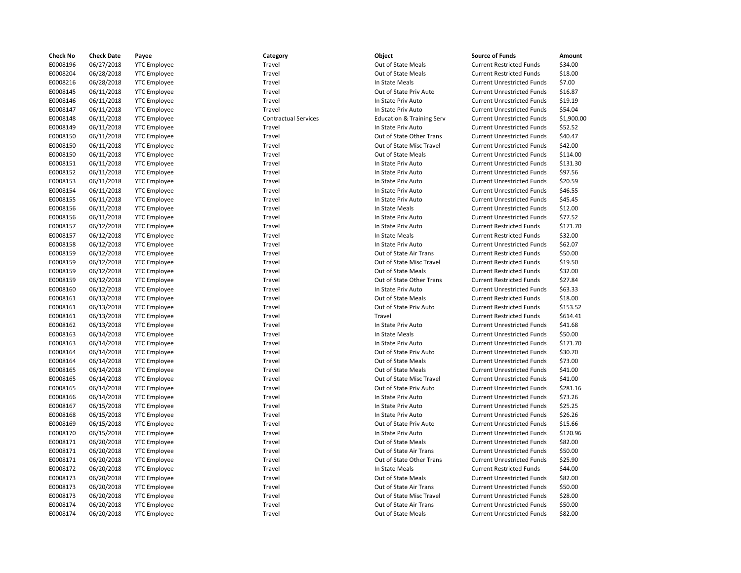| <b>Check No</b> | <b>Check Date</b> | Payee               | Category                    | Object                               | <b>Source of Funds</b>            | Amount     |
|-----------------|-------------------|---------------------|-----------------------------|--------------------------------------|-----------------------------------|------------|
| E0008196        | 06/27/2018        | <b>YTC</b> Employee | Travel                      | Out of State Meals                   | <b>Current Restricted Funds</b>   | \$34.00    |
| E0008204        | 06/28/2018        | <b>YTC Employee</b> | Travel                      | Out of State Meals                   | <b>Current Restricted Funds</b>   | \$18.00    |
| E0008216        | 06/28/2018        | <b>YTC</b> Employee | Travel                      | In State Meals                       | <b>Current Unrestricted Funds</b> | \$7.00     |
| E0008145        | 06/11/2018        | <b>YTC Employee</b> | Travel                      | Out of State Priv Auto               | <b>Current Unrestricted Funds</b> | \$16.87    |
| E0008146        | 06/11/2018        | <b>YTC</b> Employee | Travel                      | In State Priv Auto                   | <b>Current Unrestricted Funds</b> | \$19.19    |
| E0008147        | 06/11/2018        | <b>YTC</b> Employee | Travel                      | In State Priv Auto                   | <b>Current Unrestricted Funds</b> | \$54.04    |
| E0008148        | 06/11/2018        | <b>YTC Employee</b> | <b>Contractual Services</b> | <b>Education &amp; Training Serv</b> | <b>Current Unrestricted Funds</b> | \$1,900.00 |
| E0008149        | 06/11/2018        | <b>YTC Employee</b> | Travel                      | In State Priv Auto                   | <b>Current Unrestricted Funds</b> | \$52.52    |
| E0008150        | 06/11/2018        | <b>YTC Employee</b> | Travel                      | Out of State Other Trans             | <b>Current Unrestricted Funds</b> | \$40.47    |
| E0008150        | 06/11/2018        | <b>YTC Employee</b> | Travel                      | Out of State Misc Travel             | <b>Current Unrestricted Funds</b> | \$42.00    |
| E0008150        | 06/11/2018        | <b>YTC</b> Employee | Travel                      | Out of State Meals                   | <b>Current Unrestricted Funds</b> | \$114.00   |
| E0008151        | 06/11/2018        | <b>YTC</b> Employee | Travel                      | In State Priv Auto                   | <b>Current Unrestricted Funds</b> | \$131.30   |
| E0008152        | 06/11/2018        | <b>YTC Employee</b> | Travel                      | In State Priv Auto                   | <b>Current Unrestricted Funds</b> | \$97.56    |
| E0008153        | 06/11/2018        | <b>YTC Employee</b> | Travel                      | In State Priv Auto                   | <b>Current Unrestricted Funds</b> | \$20.59    |
| E0008154        | 06/11/2018        | <b>YTC</b> Employee | Travel                      | In State Priv Auto                   | <b>Current Unrestricted Funds</b> | \$46.55    |
| E0008155        | 06/11/2018        | <b>YTC Employee</b> | Travel                      | In State Priv Auto                   | <b>Current Unrestricted Funds</b> | \$45.45    |
| E0008156        | 06/11/2018        | <b>YTC Employee</b> | Travel                      | In State Meals                       | <b>Current Unrestricted Funds</b> | \$12.00    |
| E0008156        | 06/11/2018        | <b>YTC</b> Employee | Travel                      | In State Priv Auto                   | <b>Current Unrestricted Funds</b> | \$77.52    |
| E0008157        | 06/12/2018        | <b>YTC</b> Employee | Travel                      | In State Priv Auto                   | <b>Current Restricted Funds</b>   | \$171.70   |
| E0008157        | 06/12/2018        | <b>YTC Employee</b> | Travel                      | In State Meals                       | <b>Current Restricted Funds</b>   | \$32.00    |
| E0008158        | 06/12/2018        | <b>YTC Employee</b> | Travel                      | In State Priv Auto                   | <b>Current Unrestricted Funds</b> | \$62.07    |
| E0008159        | 06/12/2018        | <b>YTC Employee</b> | Travel                      | Out of State Air Trans               | <b>Current Restricted Funds</b>   | \$50.00    |
| E0008159        | 06/12/2018        | <b>YTC</b> Employee | Travel                      | Out of State Misc Travel             | <b>Current Restricted Funds</b>   | \$19.50    |
| E0008159        | 06/12/2018        | <b>YTC Employee</b> | Travel                      | Out of State Meals                   | <b>Current Restricted Funds</b>   | \$32.00    |
| E0008159        | 06/12/2018        | <b>YTC</b> Employee | Travel                      | Out of State Other Trans             | <b>Current Restricted Funds</b>   | \$27.84    |
| E0008160        | 06/12/2018        | <b>YTC Employee</b> | Travel                      | In State Priv Auto                   | <b>Current Unrestricted Funds</b> | \$63.33    |
| E0008161        | 06/13/2018        | <b>YTC Employee</b> | Travel                      | Out of State Meals                   | <b>Current Restricted Funds</b>   | \$18.00    |
| E0008161        | 06/13/2018        | <b>YTC</b> Employee | Travel                      | Out of State Priv Auto               | <b>Current Restricted Funds</b>   | \$153.52   |
| E0008161        | 06/13/2018        | <b>YTC Employee</b> | Travel                      | Travel                               | <b>Current Restricted Funds</b>   | \$614.41   |
| E0008162        | 06/13/2018        | <b>YTC</b> Employee | Travel                      | In State Priv Auto                   | <b>Current Unrestricted Funds</b> | \$41.68    |
| E0008163        | 06/14/2018        | <b>YTC Employee</b> | Travel                      | In State Meals                       | <b>Current Unrestricted Funds</b> | \$50.00    |
| E0008163        | 06/14/2018        | <b>YTC Employee</b> | Travel                      | In State Priv Auto                   | <b>Current Unrestricted Funds</b> | \$171.70   |
| E0008164        | 06/14/2018        | <b>YTC Employee</b> | Travel                      | Out of State Priv Auto               | <b>Current Unrestricted Funds</b> | \$30.70    |
| E0008164        | 06/14/2018        | <b>YTC</b> Employee | Travel                      | Out of State Meals                   | <b>Current Unrestricted Funds</b> | \$73.00    |
| E0008165        | 06/14/2018        | <b>YTC Employee</b> | Travel                      | Out of State Meals                   | <b>Current Unrestricted Funds</b> | \$41.00    |
| E0008165        | 06/14/2018        | <b>YTC Employee</b> | Travel                      | Out of State Misc Travel             | <b>Current Unrestricted Funds</b> | \$41.00    |
| E0008165        | 06/14/2018        | <b>YTC Employee</b> | Travel                      | Out of State Priv Auto               | <b>Current Unrestricted Funds</b> | \$281.16   |
| E0008166        | 06/14/2018        | <b>YTC Employee</b> | Travel                      | In State Priv Auto                   | <b>Current Unrestricted Funds</b> | \$73.26    |
| E0008167        | 06/15/2018        | <b>YTC Employee</b> | Travel                      | In State Priv Auto                   | <b>Current Unrestricted Funds</b> | \$25.25    |
| E0008168        | 06/15/2018        | <b>YTC Employee</b> | Travel                      | In State Priv Auto                   | <b>Current Unrestricted Funds</b> | \$26.26    |
| E0008169        | 06/15/2018        | <b>YTC Employee</b> | Travel                      | Out of State Priv Auto               | <b>Current Unrestricted Funds</b> | \$15.66    |
| E0008170        | 06/15/2018        | <b>YTC Employee</b> | Travel                      | In State Priv Auto                   | <b>Current Unrestricted Funds</b> | \$120.96   |
| E0008171        | 06/20/2018        | <b>YTC Employee</b> | Travel                      | Out of State Meals                   | <b>Current Unrestricted Funds</b> | \$82.00    |
| E0008171        | 06/20/2018        | <b>YTC Employee</b> | Travel                      | Out of State Air Trans               | <b>Current Unrestricted Funds</b> | \$50.00    |
| E0008171        | 06/20/2018        | <b>YTC Employee</b> | Travel                      | Out of State Other Trans             | <b>Current Unrestricted Funds</b> | \$25.90    |
| E0008172        | 06/20/2018        | <b>YTC Employee</b> | Travel                      | In State Meals                       | <b>Current Restricted Funds</b>   | \$44.00    |
| E0008173        | 06/20/2018        | <b>YTC Employee</b> | Travel                      | Out of State Meals                   | <b>Current Unrestricted Funds</b> | \$82.00    |
| E0008173        | 06/20/2018        | <b>YTC</b> Employee | Travel                      | Out of State Air Trans               | <b>Current Unrestricted Funds</b> | \$50.00    |
| E0008173        | 06/20/2018        | <b>YTC Employee</b> | Travel                      | Out of State Misc Travel             | <b>Current Unrestricted Funds</b> | \$28.00    |
| E0008174        | 06/20/2018        | <b>YTC Employee</b> | Travel                      | Out of State Air Trans               | <b>Current Unrestricted Funds</b> | \$50.00    |
| E0008174        | 06/20/2018        | <b>YTC</b> Employee | Travel                      | Out of State Meals                   | <b>Current Unrestricted Funds</b> | \$82.00    |
|                 |                   |                     |                             |                                      |                                   |            |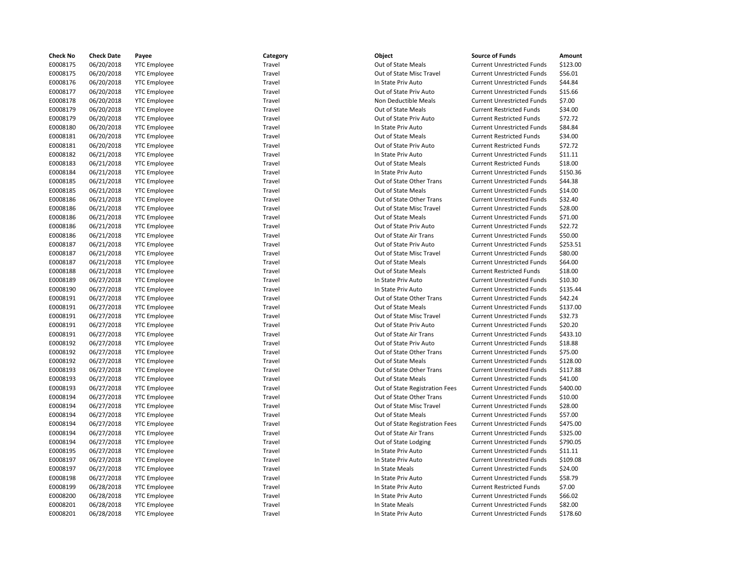| <b>Check No</b> | <b>Check Date</b> | Payee               | Category | Object                         | <b>Source of Funds</b>            | Amount   |
|-----------------|-------------------|---------------------|----------|--------------------------------|-----------------------------------|----------|
| E0008175        | 06/20/2018        | <b>YTC Employee</b> | Travel   | Out of State Meals             | <b>Current Unrestricted Funds</b> | \$123.00 |
| E0008175        | 06/20/2018        | <b>YTC</b> Employee | Travel   | Out of State Misc Travel       | <b>Current Unrestricted Funds</b> | \$56.01  |
| E0008176        | 06/20/2018        | <b>YTC Employee</b> | Travel   | In State Priv Auto             | <b>Current Unrestricted Funds</b> | \$44.84  |
| E0008177        | 06/20/2018        | <b>YTC</b> Employee | Travel   | Out of State Priv Auto         | <b>Current Unrestricted Funds</b> | \$15.66  |
| E0008178        | 06/20/2018        | <b>YTC</b> Employee | Travel   | Non Deductible Meals           | <b>Current Unrestricted Funds</b> | \$7.00   |
| E0008179        | 06/20/2018        | <b>YTC</b> Employee | Travel   | Out of State Meals             | <b>Current Restricted Funds</b>   | \$34.00  |
| E0008179        | 06/20/2018        | <b>YTC</b> Employee | Travel   | Out of State Priv Auto         | <b>Current Restricted Funds</b>   | \$72.72  |
| E0008180        | 06/20/2018        | <b>YTC Employee</b> | Travel   | In State Priv Auto             | <b>Current Unrestricted Funds</b> | \$84.84  |
| E0008181        | 06/20/2018        | <b>YTC Employee</b> | Travel   | Out of State Meals             | <b>Current Restricted Funds</b>   | \$34.00  |
| E0008181        | 06/20/2018        | <b>YTC</b> Employee | Travel   | Out of State Priv Auto         | <b>Current Restricted Funds</b>   | \$72.72  |
| E0008182        | 06/21/2018        | <b>YTC</b> Employee | Travel   | In State Priv Auto             | <b>Current Unrestricted Funds</b> | \$11.11  |
| E0008183        | 06/21/2018        | <b>YTC</b> Employee | Travel   | Out of State Meals             | <b>Current Restricted Funds</b>   | \$18.00  |
| E0008184        | 06/21/2018        | <b>YTC</b> Employee | Travel   | In State Priv Auto             | <b>Current Unrestricted Funds</b> | \$150.36 |
| E0008185        | 06/21/2018        | <b>YTC</b> Employee | Travel   | Out of State Other Trans       | <b>Current Unrestricted Funds</b> | \$44.38  |
| E0008185        | 06/21/2018        | <b>YTC</b> Employee | Travel   | Out of State Meals             | <b>Current Unrestricted Funds</b> | \$14.00  |
| E0008186        | 06/21/2018        | <b>YTC</b> Employee | Travel   | Out of State Other Trans       | <b>Current Unrestricted Funds</b> | \$32.40  |
| E0008186        | 06/21/2018        | <b>YTC</b> Employee | Travel   | Out of State Misc Travel       | <b>Current Unrestricted Funds</b> | \$28.00  |
| E0008186        | 06/21/2018        | <b>YTC Employee</b> | Travel   | Out of State Meals             | <b>Current Unrestricted Funds</b> | \$71.00  |
| E0008186        | 06/21/2018        | <b>YTC</b> Employee | Travel   | Out of State Priv Auto         | <b>Current Unrestricted Funds</b> | \$22.72  |
| E0008186        | 06/21/2018        | <b>YTC</b> Employee | Travel   | Out of State Air Trans         | <b>Current Unrestricted Funds</b> | \$50.00  |
| E0008187        | 06/21/2018        | <b>YTC</b> Employee | Travel   | Out of State Priv Auto         | <b>Current Unrestricted Funds</b> | \$253.51 |
| E0008187        | 06/21/2018        | <b>YTC</b> Employee | Travel   | Out of State Misc Travel       | <b>Current Unrestricted Funds</b> | \$80.00  |
| E0008187        | 06/21/2018        | <b>YTC Employee</b> | Travel   | Out of State Meals             | <b>Current Unrestricted Funds</b> | \$64.00  |
| E0008188        | 06/21/2018        | <b>YTC</b> Employee | Travel   | Out of State Meals             | <b>Current Restricted Funds</b>   | \$18.00  |
| E0008189        | 06/27/2018        | <b>YTC Employee</b> | Travel   | In State Priv Auto             | <b>Current Unrestricted Funds</b> | \$10.30  |
| E0008190        | 06/27/2018        | <b>YTC</b> Employee | Travel   | In State Priv Auto             | <b>Current Unrestricted Funds</b> | \$135.44 |
| E0008191        | 06/27/2018        | <b>YTC</b> Employee | Travel   | Out of State Other Trans       | <b>Current Unrestricted Funds</b> | \$42.24  |
| E0008191        | 06/27/2018        | <b>YTC Employee</b> | Travel   | Out of State Meals             | <b>Current Unrestricted Funds</b> | \$137.00 |
| E0008191        | 06/27/2018        | <b>YTC</b> Employee | Travel   | Out of State Misc Travel       | <b>Current Unrestricted Funds</b> | \$32.73  |
| E0008191        | 06/27/2018        | <b>YTC</b> Employee | Travel   | Out of State Priv Auto         | <b>Current Unrestricted Funds</b> | \$20.20  |
| E0008191        | 06/27/2018        | <b>YTC</b> Employee | Travel   | Out of State Air Trans         | <b>Current Unrestricted Funds</b> | \$433.10 |
| E0008192        | 06/27/2018        | <b>YTC</b> Employee | Travel   | Out of State Priv Auto         | <b>Current Unrestricted Funds</b> | \$18.88  |
| E0008192        | 06/27/2018        | <b>YTC Employee</b> | Travel   | Out of State Other Trans       | <b>Current Unrestricted Funds</b> | \$75.00  |
| E0008192        | 06/27/2018        | <b>YTC Employee</b> | Travel   | Out of State Meals             | <b>Current Unrestricted Funds</b> | \$128.00 |
| E0008193        | 06/27/2018        | <b>YTC</b> Employee | Travel   | Out of State Other Trans       | <b>Current Unrestricted Funds</b> | \$117.88 |
| E0008193        | 06/27/2018        | <b>YTC</b> Employee | Travel   | Out of State Meals             | <b>Current Unrestricted Funds</b> | \$41.00  |
| E0008193        | 06/27/2018        | <b>YTC</b> Employee | Travel   | Out of State Registration Fees | <b>Current Unrestricted Funds</b> | \$400.00 |
| E0008194        | 06/27/2018        | <b>YTC</b> Employee | Travel   | Out of State Other Trans       | <b>Current Unrestricted Funds</b> | \$10.00  |
| E0008194        | 06/27/2018        | <b>YTC</b> Employee | Travel   | Out of State Misc Travel       | <b>Current Unrestricted Funds</b> | \$28.00  |
| E0008194        | 06/27/2018        | <b>YTC Employee</b> | Travel   | Out of State Meals             | <b>Current Unrestricted Funds</b> | \$57.00  |
| E0008194        | 06/27/2018        | <b>YTC</b> Employee | Travel   | Out of State Registration Fees | <b>Current Unrestricted Funds</b> | \$475.00 |
| E0008194        | 06/27/2018        | <b>YTC</b> Employee | Travel   | Out of State Air Trans         | <b>Current Unrestricted Funds</b> | \$325.00 |
| E0008194        | 06/27/2018        | <b>YTC</b> Employee | Travel   | Out of State Lodging           | <b>Current Unrestricted Funds</b> | \$790.05 |
| E0008195        | 06/27/2018        | <b>YTC</b> Employee | Travel   | In State Priv Auto             | <b>Current Unrestricted Funds</b> | \$11.11  |
| E0008197        | 06/27/2018        | <b>YTC Employee</b> | Travel   | In State Priv Auto             | <b>Current Unrestricted Funds</b> | \$109.08 |
| E0008197        | 06/27/2018        | <b>YTC Employee</b> | Travel   | In State Meals                 | <b>Current Unrestricted Funds</b> | \$24.00  |
| E0008198        | 06/27/2018        | <b>YTC</b> Employee | Travel   | In State Priv Auto             | <b>Current Unrestricted Funds</b> | \$58.79  |
| E0008199        | 06/28/2018        | <b>YTC</b> Employee | Travel   | In State Priv Auto             | <b>Current Restricted Funds</b>   | \$7.00   |
| E0008200        | 06/28/2018        | <b>YTC Employee</b> | Travel   | In State Priv Auto             | <b>Current Unrestricted Funds</b> | \$66.02  |
| E0008201        | 06/28/2018        | <b>YTC</b> Employee | Travel   | In State Meals                 | <b>Current Unrestricted Funds</b> | \$82.00  |
| E0008201        | 06/28/2018        | <b>YTC</b> Employee | Travel   | In State Priv Auto             | <b>Current Unrestricted Funds</b> | \$178.60 |
|                 |                   |                     |          |                                |                                   |          |